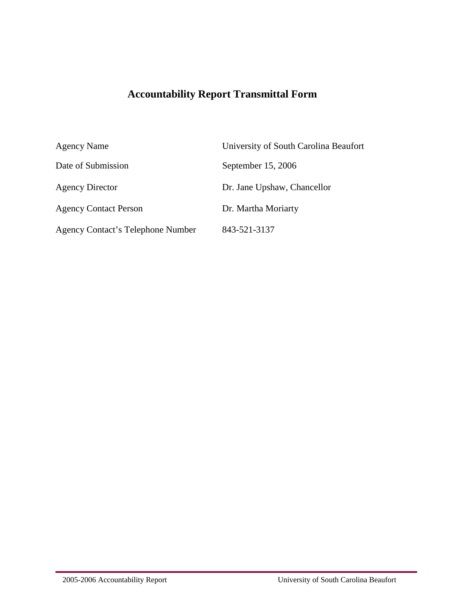# **Accountability Report Transmittal Form**

| <b>Agency Name</b>                       | University of South Carolina Beaufort |
|------------------------------------------|---------------------------------------|
| Date of Submission                       | September 15, 2006                    |
| <b>Agency Director</b>                   | Dr. Jane Upshaw, Chancellor           |
| <b>Agency Contact Person</b>             | Dr. Martha Moriarty                   |
| <b>Agency Contact's Telephone Number</b> | 843-521-3137                          |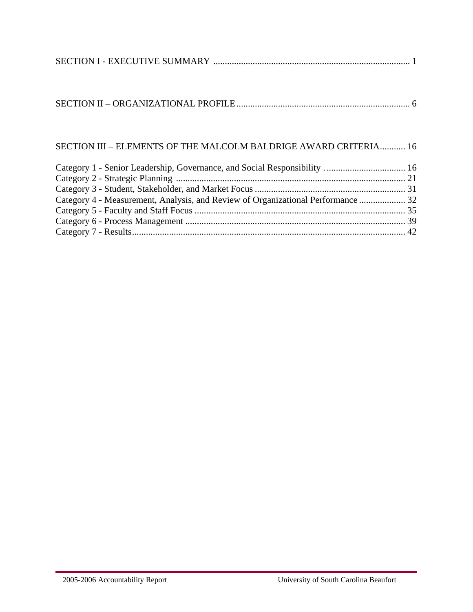# SECTION III – ELEMENTS OF THE MALCOLM BALDRIGE AWARD CRITERIA........... 16

| Category 4 - Measurement, Analysis, and Review of Organizational Performance  32 |  |
|----------------------------------------------------------------------------------|--|
|                                                                                  |  |
|                                                                                  |  |
|                                                                                  |  |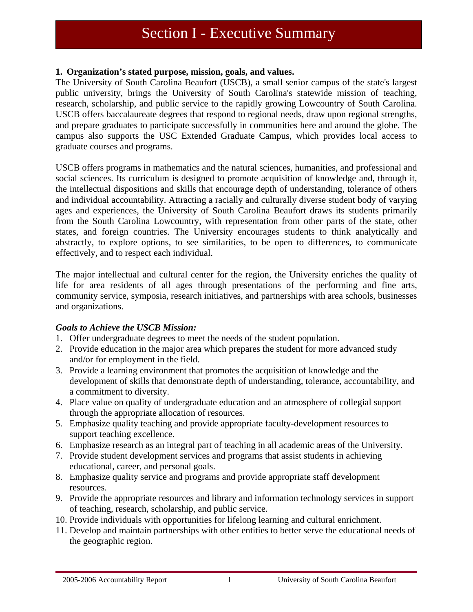# Section I - Executive Summary

#### **1. Organization's stated purpose, mission, goals, and values.**

The University of South Carolina Beaufort (USCB), a small senior campus of the state's largest public university, brings the University of South Carolina's statewide mission of teaching, research, scholarship, and public service to the rapidly growing Lowcountry of South Carolina. USCB offers baccalaureate degrees that respond to regional needs, draw upon regional strengths, and prepare graduates to participate successfully in communities here and around the globe. The campus also supports the USC Extended Graduate Campus, which provides local access to graduate courses and programs.

USCB offers programs in mathematics and the natural sciences, humanities, and professional and social sciences. Its curriculum is designed to promote acquisition of knowledge and, through it, the intellectual dispositions and skills that encourage depth of understanding, tolerance of others and individual accountability. Attracting a racially and culturally diverse student body of varying ages and experiences, the University of South Carolina Beaufort draws its students primarily from the South Carolina Lowcountry, with representation from other parts of the state, other states, and foreign countries. The University encourages students to think analytically and abstractly, to explore options, to see similarities, to be open to differences, to communicate effectively, and to respect each individual.

The major intellectual and cultural center for the region, the University enriches the quality of life for area residents of all ages through presentations of the performing and fine arts, community service, symposia, research initiatives, and partnerships with area schools, businesses and organizations.

#### *Goals to Achieve the USCB Mission:*

- 1. Offer undergraduate degrees to meet the needs of the student population.
- 2. Provide education in the major area which prepares the student for more advanced study and/or for employment in the field.
- 3. Provide a learning environment that promotes the acquisition of knowledge and the development of skills that demonstrate depth of understanding, tolerance, accountability, and a commitment to diversity.
- 4. Place value on quality of undergraduate education and an atmosphere of collegial support through the appropriate allocation of resources.
- 5. Emphasize quality teaching and provide appropriate faculty-development resources to support teaching excellence.
- 6. Emphasize research as an integral part of teaching in all academic areas of the University.
- 7. Provide student development services and programs that assist students in achieving educational, career, and personal goals.
- 8. Emphasize quality service and programs and provide appropriate staff development resources.
- 9. Provide the appropriate resources and library and information technology services in support of teaching, research, scholarship, and public service.
- 10. Provide individuals with opportunities for lifelong learning and cultural enrichment.
- 11. Develop and maintain partnerships with other entities to better serve the educational needs of the geographic region.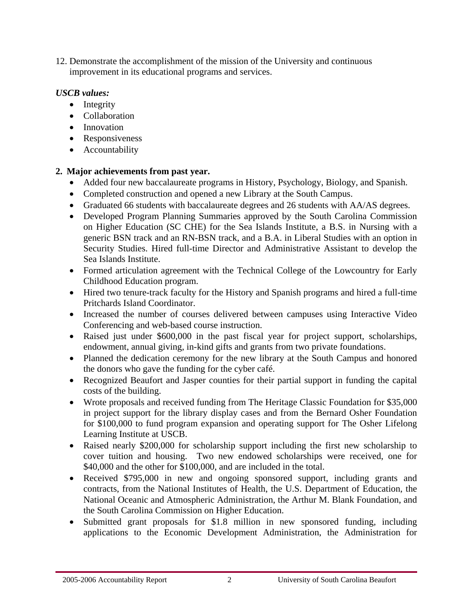12. Demonstrate the accomplishment of the mission of the University and continuous improvement in its educational programs and services.

# *USCB values:*

- Integrity
- Collaboration
- Innovation
- Responsiveness
- Accountability

# **2. Major achievements from past year.**

- Added four new baccalaureate programs in History, Psychology, Biology, and Spanish.
- Completed construction and opened a new Library at the South Campus.
- Graduated 66 students with baccalaureate degrees and 26 students with AA/AS degrees.
- Developed Program Planning Summaries approved by the South Carolina Commission on Higher Education (SC CHE) for the Sea Islands Institute, a B.S. in Nursing with a generic BSN track and an RN-BSN track, and a B.A. in Liberal Studies with an option in Security Studies. Hired full-time Director and Administrative Assistant to develop the Sea Islands Institute.
- Formed articulation agreement with the Technical College of the Lowcountry for Early Childhood Education program.
- Hired two tenure-track faculty for the History and Spanish programs and hired a full-time Pritchards Island Coordinator.
- Increased the number of courses delivered between campuses using Interactive Video Conferencing and web-based course instruction.
- Raised just under \$600,000 in the past fiscal year for project support, scholarships, endowment, annual giving, in-kind gifts and grants from two private foundations.
- Planned the dedication ceremony for the new library at the South Campus and honored the donors who gave the funding for the cyber café.
- Recognized Beaufort and Jasper counties for their partial support in funding the capital costs of the building.
- Wrote proposals and received funding from The Heritage Classic Foundation for \$35,000 in project support for the library display cases and from the Bernard Osher Foundation for \$100,000 to fund program expansion and operating support for The Osher Lifelong Learning Institute at USCB.
- Raised nearly \$200,000 for scholarship support including the first new scholarship to cover tuition and housing. Two new endowed scholarships were received, one for \$40,000 and the other for \$100,000, and are included in the total.
- Received \$795,000 in new and ongoing sponsored support, including grants and contracts, from the National Institutes of Health, the U.S. Department of Education, the National Oceanic and Atmospheric Administration, the Arthur M. Blank Foundation, and the South Carolina Commission on Higher Education.
- Submitted grant proposals for \$1.8 million in new sponsored funding, including applications to the Economic Development Administration, the Administration for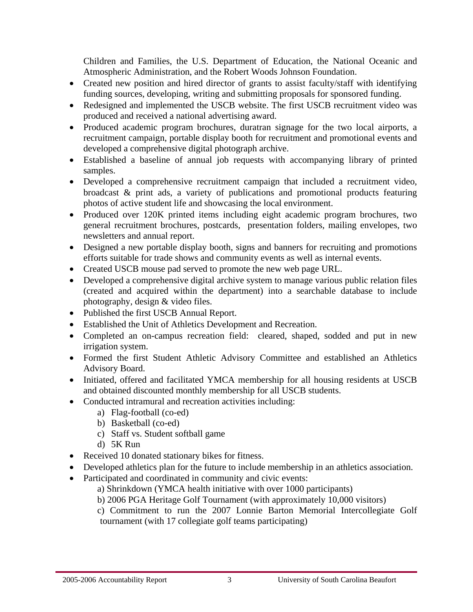Children and Families, the U.S. Department of Education, the National Oceanic and Atmospheric Administration, and the Robert Woods Johnson Foundation.

- Created new position and hired director of grants to assist faculty/staff with identifying funding sources, developing, writing and submitting proposals for sponsored funding.
- Redesigned and implemented the USCB website. The first USCB recruitment video was produced and received a national advertising award.
- Produced academic program brochures, duratran signage for the two local airports, a recruitment campaign, portable display booth for recruitment and promotional events and developed a comprehensive digital photograph archive.
- Established a baseline of annual job requests with accompanying library of printed samples.
- Developed a comprehensive recruitment campaign that included a recruitment video, broadcast & print ads, a variety of publications and promotional products featuring photos of active student life and showcasing the local environment.
- Produced over 120K printed items including eight academic program brochures, two general recruitment brochures, postcards, presentation folders, mailing envelopes, two newsletters and annual report.
- Designed a new portable display booth, signs and banners for recruiting and promotions efforts suitable for trade shows and community events as well as internal events.
- Created USCB mouse pad served to promote the new web page URL.
- Developed a comprehensive digital archive system to manage various public relation files (created and acquired within the department) into a searchable database to include photography, design & video files.
- Published the first USCB Annual Report.
- Established the Unit of Athletics Development and Recreation.
- Completed an on-campus recreation field: cleared, shaped, sodded and put in new irrigation system.
- Formed the first Student Athletic Advisory Committee and established an Athletics Advisory Board.
- Initiated, offered and facilitated YMCA membership for all housing residents at USCB and obtained discounted monthly membership for all USCB students.
- Conducted intramural and recreation activities including:
	- a) Flag-football (co-ed)
	- b) Basketball (co-ed)
	- c) Staff vs. Student softball game
	- d) 5K Run
- Received 10 donated stationary bikes for fitness.
- Developed athletics plan for the future to include membership in an athletics association.
- Participated and coordinated in community and civic events:
	- a) Shrinkdown (YMCA health initiative with over 1000 participants)
	- b) 2006 PGA Heritage Golf Tournament (with approximately 10,000 visitors)
	- c) Commitment to run the 2007 Lonnie Barton Memorial Intercollegiate Golf tournament (with 17 collegiate golf teams participating)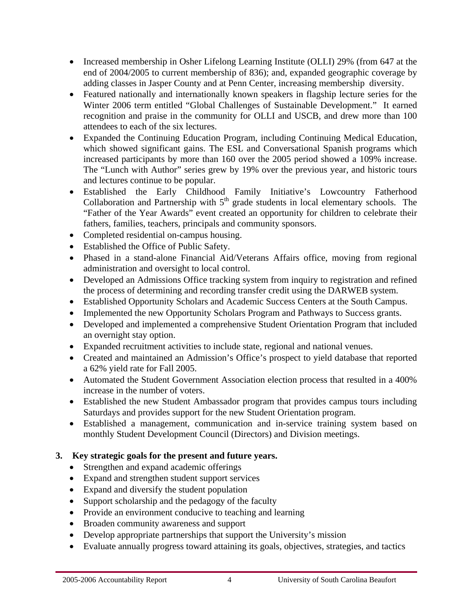- Increased membership in Osher Lifelong Learning Institute (OLLI) 29% (from 647 at the end of 2004/2005 to current membership of 836); and, expanded geographic coverage by adding classes in Jasper County and at Penn Center, increasing membership diversity.
- Featured nationally and internationally known speakers in flagship lecture series for the Winter 2006 term entitled "Global Challenges of Sustainable Development." It earned recognition and praise in the community for OLLI and USCB, and drew more than 100 attendees to each of the six lectures.
- Expanded the Continuing Education Program, including Continuing Medical Education, which showed significant gains. The ESL and Conversational Spanish programs which increased participants by more than 160 over the 2005 period showed a 109% increase. The "Lunch with Author" series grew by 19% over the previous year, and historic tours and lectures continue to be popular.
- Established the Early Childhood Family Initiative's Lowcountry Fatherhood Collaboration and Partnership with  $5<sup>th</sup>$  grade students in local elementary schools. The "Father of the Year Awards" event created an opportunity for children to celebrate their fathers, families, teachers, principals and community sponsors.
- Completed residential on-campus housing.
- Established the Office of Public Safety.
- Phased in a stand-alone Financial Aid/Veterans Affairs office, moving from regional administration and oversight to local control.
- Developed an Admissions Office tracking system from inquiry to registration and refined the process of determining and recording transfer credit using the DARWEB system.
- Established Opportunity Scholars and Academic Success Centers at the South Campus.
- Implemented the new Opportunity Scholars Program and Pathways to Success grants.
- Developed and implemented a comprehensive Student Orientation Program that included an overnight stay option.
- Expanded recruitment activities to include state, regional and national venues.
- Created and maintained an Admission's Office's prospect to yield database that reported a 62% yield rate for Fall 2005.
- Automated the Student Government Association election process that resulted in a 400% increase in the number of voters.
- Established the new Student Ambassador program that provides campus tours including Saturdays and provides support for the new Student Orientation program.
- Established a management, communication and in-service training system based on monthly Student Development Council (Directors) and Division meetings.

# **3. Key strategic goals for the present and future years.**

- Strengthen and expand academic offerings
- Expand and strengthen student support services
- Expand and diversify the student population
- Support scholarship and the pedagogy of the faculty
- Provide an environment conducive to teaching and learning
- Broaden community awareness and support
- Develop appropriate partnerships that support the University's mission
- Evaluate annually progress toward attaining its goals, objectives, strategies, and tactics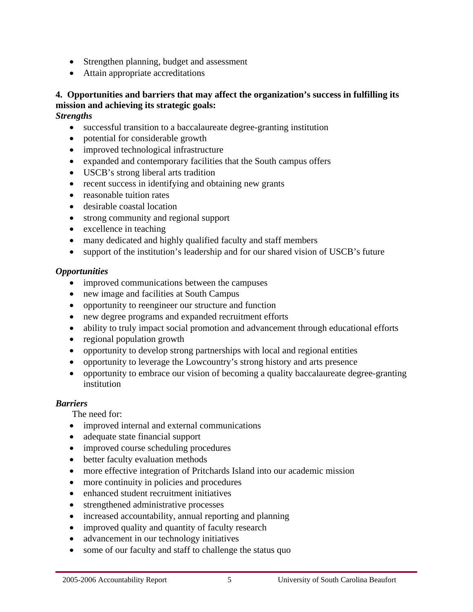- Strengthen planning, budget and assessment
- Attain appropriate accreditations

# **4. Opportunities and barriers that may affect the organization's success in fulfilling its mission and achieving its strategic goals:**

*Strengths* 

- successful transition to a baccalaureate degree-granting institution
- potential for considerable growth
- improved technological infrastructure
- expanded and contemporary facilities that the South campus offers
- USCB's strong liberal arts tradition
- recent success in identifying and obtaining new grants
- reasonable tuition rates
- desirable coastal location
- strong community and regional support
- excellence in teaching
- many dedicated and highly qualified faculty and staff members
- support of the institution's leadership and for our shared vision of USCB's future

#### *Opportunities*

- improved communications between the campuses
- new image and facilities at South Campus
- opportunity to reengineer our structure and function
- new degree programs and expanded recruitment efforts
- ability to truly impact social promotion and advancement through educational efforts
- regional population growth
- opportunity to develop strong partnerships with local and regional entities
- opportunity to leverage the Lowcountry's strong history and arts presence
- opportunity to embrace our vision of becoming a quality baccalaureate degree-granting institution

# *Barriers*

j

The need for:

- improved internal and external communications
- adequate state financial support
- improved course scheduling procedures
- better faculty evaluation methods
- more effective integration of Pritchards Island into our academic mission
- more continuity in policies and procedures
- enhanced student recruitment initiatives
- strengthened administrative processes
- increased accountability, annual reporting and planning
- improved quality and quantity of faculty research
- advancement in our technology initiatives
- some of our faculty and staff to challenge the status quo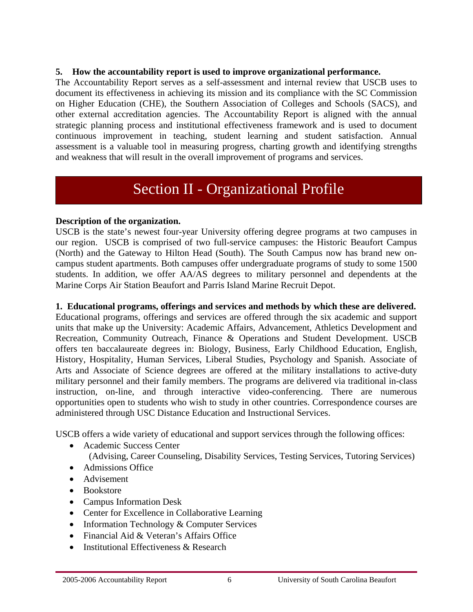#### **5. How the accountability report is used to improve organizational performance.**

The Accountability Report serves as a self-assessment and internal review that USCB uses to document its effectiveness in achieving its mission and its compliance with the SC Commission on Higher Education (CHE), the Southern Association of Colleges and Schools (SACS), and other external accreditation agencies. The Accountability Report is aligned with the annual strategic planning process and institutional effectiveness framework and is used to document continuous improvement in teaching, student learning and student satisfaction. Annual assessment is a valuable tool in measuring progress, charting growth and identifying strengths and weakness that will result in the overall improvement of programs and services.

# Section II - Organizational Profile

#### **Description of the organization.**

USCB is the state's newest four-year University offering degree programs at two campuses in our region. USCB is comprised of two full-service campuses: the Historic Beaufort Campus (North) and the Gateway to Hilton Head (South). The South Campus now has brand new oncampus student apartments. Both campuses offer undergraduate programs of study to some 1500 students. In addition, we offer AA/AS degrees to military personnel and dependents at the Marine Corps Air Station Beaufort and Parris Island Marine Recruit Depot.

#### **1. Educational programs, offerings and services and methods by which these are delivered.**

Educational programs, offerings and services are offered through the six academic and support units that make up the University: Academic Affairs, Advancement, Athletics Development and Recreation, Community Outreach, Finance & Operations and Student Development. USCB offers ten baccalaureate degrees in: Biology, Business, Early Childhood Education, English, History, Hospitality, Human Services, Liberal Studies, Psychology and Spanish. Associate of Arts and Associate of Science degrees are offered at the military installations to active-duty military personnel and their family members. The programs are delivered via traditional in-class instruction, on-line, and through interactive video-conferencing. There are numerous opportunities open to students who wish to study in other countries. Correspondence courses are administered through USC Distance Education and Instructional Services.

USCB offers a wide variety of educational and support services through the following offices:

- Academic Success Center (Advising, Career Counseling, Disability Services, Testing Services, Tutoring Services)
- Admissions Office
- Advisement
- Bookstore

- Campus Information Desk
- Center for Excellence in Collaborative Learning
- Information Technology & Computer Services
- Financial Aid & Veteran's Affairs Office
- Institutional Effectiveness & Research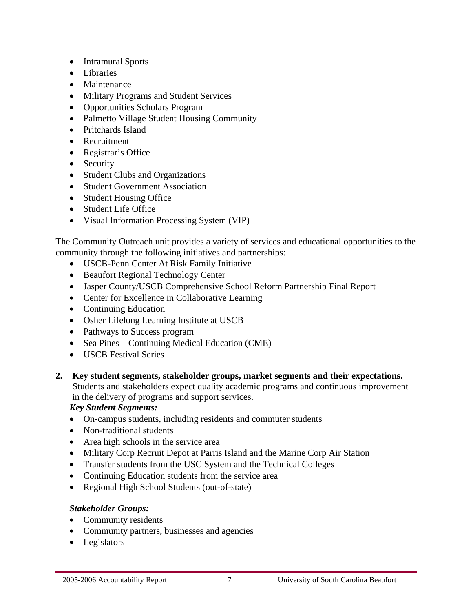- Intramural Sports
- Libraries
- Maintenance
- Military Programs and Student Services
- Opportunities Scholars Program
- Palmetto Village Student Housing Community
- Pritchards Island
- Recruitment
- Registrar's Office
- Security
- Student Clubs and Organizations
- Student Government Association
- Student Housing Office
- Student Life Office
- Visual Information Processing System (VIP)

The Community Outreach unit provides a variety of services and educational opportunities to the community through the following initiatives and partnerships:

- USCB-Penn Center At Risk Family Initiative
- Beaufort Regional Technology Center
- Jasper County/USCB Comprehensive School Reform Partnership Final Report
- Center for Excellence in Collaborative Learning
- Continuing Education
- Osher Lifelong Learning Institute at USCB
- Pathways to Success program
- Sea Pines Continuing Medical Education (CME)
- USCB Festival Series
- **2. Key student segments, stakeholder groups, market segments and their expectations.**  Students and stakeholders expect quality academic programs and continuous improvement in the delivery of programs and support services.

*Key Student Segments:* 

- On-campus students, including residents and commuter students
- Non-traditional students
- Area high schools in the service area
- Military Corp Recruit Depot at Parris Island and the Marine Corp Air Station
- Transfer students from the USC System and the Technical Colleges
- Continuing Education students from the service area
- Regional High School Students (out-of-state)

# *Stakeholder Groups:*

- Community residents
- Community partners, businesses and agencies
- Legislators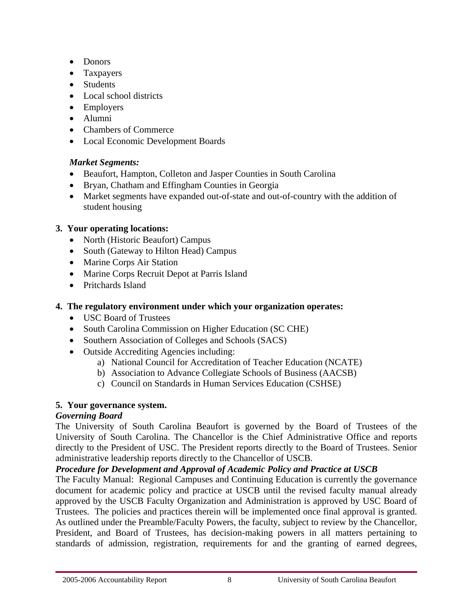- Donors
- Taxpayers
- Students
- Local school districts
- Employers
- Alumni
- Chambers of Commerce
- Local Economic Development Boards

# *Market Segments:*

- Beaufort, Hampton, Colleton and Jasper Counties in South Carolina
- Bryan, Chatham and Effingham Counties in Georgia
- Market segments have expanded out-of-state and out-of-country with the addition of student housing

# **3. Your operating locations:**

- North (Historic Beaufort) Campus
- South (Gateway to Hilton Head) Campus
- Marine Corps Air Station
- Marine Corps Recruit Depot at Parris Island
- Pritchards Island

# **4. The regulatory environment under which your organization operates:**

- USC Board of Trustees
- South Carolina Commission on Higher Education (SC CHE)
- Southern Association of Colleges and Schools (SACS)
- Outside Accrediting Agencies including:
	- a) National Council for Accreditation of Teacher Education (NCATE)
	- b) Association to Advance Collegiate Schools of Business (AACSB)
	- c) Council on Standards in Human Services Education (CSHSE)

# **5. Your governance system.**

# *Governing Board*

The University of South Carolina Beaufort is governed by the Board of Trustees of the University of South Carolina. The Chancellor is the Chief Administrative Office and reports directly to the President of USC. The President reports directly to the Board of Trustees. Senior administrative leadership reports directly to the Chancellor of USCB.

# *Procedure for Development and Approval of Academic Policy and Practice at USCB*

The Faculty Manual: Regional Campuses and Continuing Education is currently the governance document for academic policy and practice at USCB until the revised faculty manual already approved by the USCB Faculty Organization and Administration is approved by USC Board of Trustees. The policies and practices therein will be implemented once final approval is granted. As outlined under the Preamble/Faculty Powers, the faculty, subject to review by the Chancellor, President, and Board of Trustees, has decision-making powers in all matters pertaining to standards of admission, registration, requirements for and the granting of earned degrees,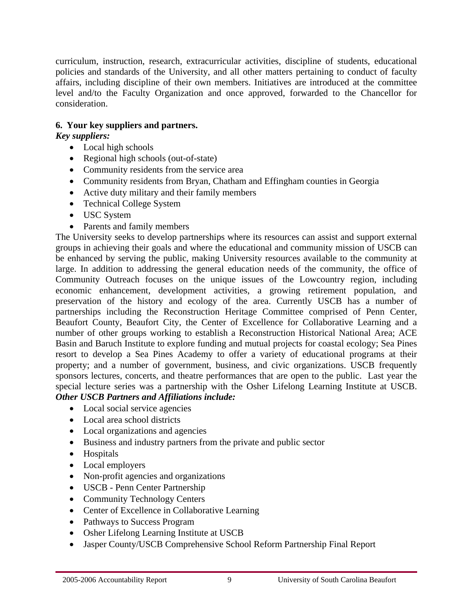curriculum, instruction, research, extracurricular activities, discipline of students, educational policies and standards of the University, and all other matters pertaining to conduct of faculty affairs, including discipline of their own members. Initiatives are introduced at the committee level and/to the Faculty Organization and once approved, forwarded to the Chancellor for consideration.

# **6. Your key suppliers and partners.**

# *Key suppliers:*

- Local high schools
- Regional high schools (out-of-state)
- Community residents from the service area
- Community residents from Bryan, Chatham and Effingham counties in Georgia
- Active duty military and their family members
- Technical College System
- USC System
- Parents and family members

The University seeks to develop partnerships where its resources can assist and support external groups in achieving their goals and where the educational and community mission of USCB can be enhanced by serving the public, making University resources available to the community at large. In addition to addressing the general education needs of the community, the office of Community Outreach focuses on the unique issues of the Lowcountry region, including economic enhancement, development activities, a growing retirement population, and preservation of the history and ecology of the area. Currently USCB has a number of partnerships including the Reconstruction Heritage Committee comprised of Penn Center, Beaufort County, Beaufort City, the Center of Excellence for Collaborative Learning and a number of other groups working to establish a Reconstruction Historical National Area; ACE Basin and Baruch Institute to explore funding and mutual projects for coastal ecology; Sea Pines resort to develop a Sea Pines Academy to offer a variety of educational programs at their property; and a number of government, business, and civic organizations. USCB frequently sponsors lectures, concerts, and theatre performances that are open to the public. Last year the special lecture series was a partnership with the Osher Lifelong Learning Institute at USCB. *Other USCB Partners and Affiliations include:* 

- Local social service agencies
- Local area school districts
- Local organizations and agencies
- Business and industry partners from the private and public sector
- Hospitals
- Local employers
- Non-profit agencies and organizations
- USCB Penn Center Partnership
- Community Technology Centers
- Center of Excellence in Collaborative Learning
- Pathways to Success Program
- Osher Lifelong Learning Institute at USCB
- Jasper County/USCB Comprehensive School Reform Partnership Final Report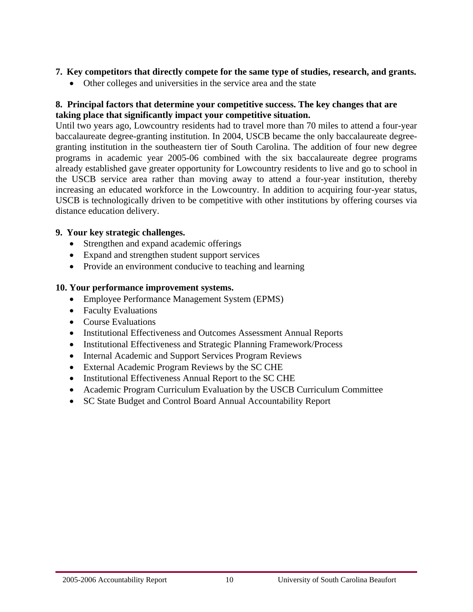#### **7. Key competitors that directly compete for the same type of studies, research, and grants.**

• Other colleges and universities in the service area and the state

# **8. Principal factors that determine your competitive success. The key changes that are taking place that significantly impact your competitive situation.**

Until two years ago, Lowcountry residents had to travel more than 70 miles to attend a four-year baccalaureate degree-granting institution. In 2004, USCB became the only baccalaureate degreegranting institution in the southeastern tier of South Carolina. The addition of four new degree programs in academic year 2005-06 combined with the six baccalaureate degree programs already established gave greater opportunity for Lowcountry residents to live and go to school in the USCB service area rather than moving away to attend a four-year institution, thereby increasing an educated workforce in the Lowcountry. In addition to acquiring four-year status, USCB is technologically driven to be competitive with other institutions by offering courses via distance education delivery.

# **9. Your key strategic challenges.**

- Strengthen and expand academic offerings
- Expand and strengthen student support services
- Provide an environment conducive to teaching and learning

# **10. Your performance improvement systems.**

- Employee Performance Management System (EPMS)
- Faculty Evaluations
- Course Evaluations
- Institutional Effectiveness and Outcomes Assessment Annual Reports
- Institutional Effectiveness and Strategic Planning Framework/Process
- Internal Academic and Support Services Program Reviews
- External Academic Program Reviews by the SC CHE
- Institutional Effectiveness Annual Report to the SC CHE
- Academic Program Curriculum Evaluation by the USCB Curriculum Committee
- SC State Budget and Control Board Annual Accountability Report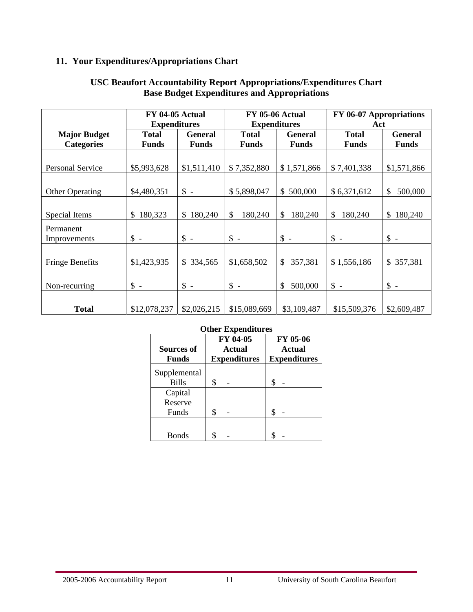# **11. Your Expenditures/Appropriations Chart**

|                           | FY 04-05 Actual<br><b>Expenditures</b> |                 |               | <b>FY 05-06 Actual</b><br><b>Expenditures</b> | FY 06-07 Appropriations<br>Act |                |
|---------------------------|----------------------------------------|-----------------|---------------|-----------------------------------------------|--------------------------------|----------------|
| <b>Major Budget</b>       | <b>Total</b>                           | <b>General</b>  | <b>Total</b>  | <b>General</b>                                | <b>Total</b>                   | <b>General</b> |
| <b>Categories</b>         | <b>Funds</b>                           | <b>Funds</b>    | <b>Funds</b>  | <b>Funds</b>                                  | <b>Funds</b>                   | <b>Funds</b>   |
| Personal Service          | \$5,993,628                            | \$1,511,410     | \$7,352,880   | \$1,571,866                                   | \$7,401,338                    | \$1,571,866    |
| <b>Other Operating</b>    | \$4,480,351                            | $\mathbb{S}$ -  | \$5,898,047   | \$500,000                                     | \$6,371,612                    | \$<br>500,000  |
| Special Items             | 180,323<br>\$                          | 180,240<br>\$   | \$<br>180,240 | 180,240<br>\$                                 | \$<br>180,240                  | 180,240<br>\$  |
| Permanent<br>Improvements | $\frac{1}{2}$ -                        | $\uparrow$ -    | $\uparrow$ -  | $\uparrow$ -                                  | $\uparrow$ -                   | $\mathsf S$ -  |
| <b>Fringe Benefits</b>    | \$1,423,935                            | 334,565<br>\$   | \$1,658,502   | 357,381<br>\$                                 | \$1,556,186                    | 357,381<br>\$  |
| Non-recurring             | $\uparrow$ -                           | $\frac{1}{2}$ - | $\uparrow$ -  | 500,000<br>\$                                 | $\frac{1}{2}$ -                | $\mathsf S$ -  |
| <b>Total</b>              | \$12,078,237                           | \$2,026,215     | \$15,089,669  | \$3,109,487                                   | \$15,509,376                   | \$2,609,487    |

#### **USC Beaufort Accountability Report Appropriations/Expenditures Chart Base Budget Expenditures and Appropriations**

#### **Other Expenditures Sources of FY 04-05 Actual FY 05-06 Actual Funds Expenditures Expenditures** Supplemental Bills  $\$\sim$   $\$\sim$ Capital

| Funds        | Capital<br>Reserve |  |
|--------------|--------------------|--|
|              |                    |  |
| <b>Bonds</b> |                    |  |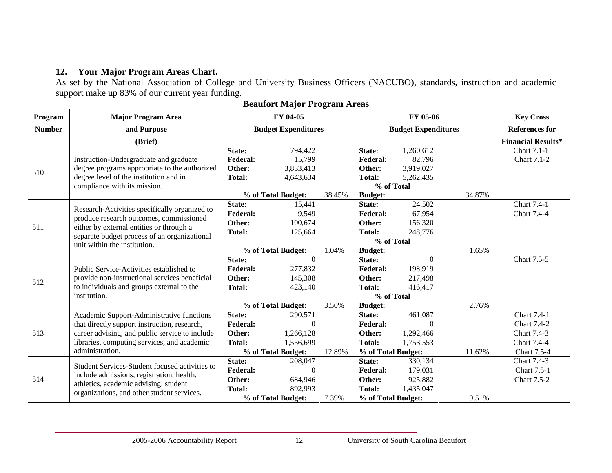# **12. Your Major Program Areas Chart.**

As set by the National Association of College and University Business Officers (NACUBO), standards, instruction and academic support make up 83% of our current year funding.

| Program       | <b>Major Program Area</b>                                                                |                 | FY 04-05                   |            |                    | FY 05-06                   |        | <b>Key Cross</b>          |
|---------------|------------------------------------------------------------------------------------------|-----------------|----------------------------|------------|--------------------|----------------------------|--------|---------------------------|
| <b>Number</b> | and Purpose                                                                              |                 | <b>Budget Expenditures</b> |            |                    | <b>Budget Expenditures</b> |        | <b>References for</b>     |
|               | (Brief)                                                                                  |                 |                            |            |                    |                            |        | <b>Financial Results*</b> |
|               |                                                                                          | State:          | 794,422                    |            | State:             | 1,260,612                  |        | Chart 7.1-1               |
|               | Instruction-Undergraduate and graduate                                                   | <b>Federal:</b> | 15,799                     |            | <b>Federal:</b>    | 82,796                     |        | Chart 7.1-2               |
| 510           | degree programs appropriate to the authorized                                            | Other:          | 3,833,413                  |            | Other:             | 3,919,027                  |        |                           |
|               | degree level of the institution and in                                                   | <b>Total:</b>   | 4,643,634                  |            | <b>Total:</b>      | 5,262,435                  |        |                           |
|               | compliance with its mission.                                                             |                 |                            |            | % of Total         |                            |        |                           |
|               |                                                                                          |                 | % of Total Budget:         | 38.45%     | <b>Budget:</b>     |                            | 34.87% |                           |
|               |                                                                                          | State:          | 15,441                     |            | State:             | 24,502                     |        | Chart 7.4-1               |
|               | Research-Activities specifically organized to                                            | <b>Federal:</b> | 9,549                      |            | <b>Federal:</b>    | 67,954                     |        | Chart 7.4-4               |
|               | produce research outcomes, commissioned                                                  | Other:          | 100,674                    |            | Other:             | 156,320                    |        |                           |
| 511           | either by external entities or through a<br>separate budget process of an organizational | <b>Total:</b>   | 125,664                    |            | <b>Total:</b>      | 248,776                    |        |                           |
|               | unit within the institution.                                                             |                 |                            |            | % of Total         |                            |        |                           |
|               |                                                                                          |                 | % of Total Budget:         | 1.04%      | <b>Budget:</b>     |                            | 1.65%  |                           |
|               |                                                                                          | State:          | $\Omega$                   |            | State:             | $\theta$                   |        | Chart 7.5-5               |
|               | Public Service-Activities established to                                                 | <b>Federal:</b> | 277,832                    |            | <b>Federal:</b>    | 198,919                    |        |                           |
|               | provide non-instructional services beneficial                                            | Other:          | 145,308                    |            | Other:             | 217,498                    |        |                           |
| 512           | to individuals and groups external to the                                                | <b>Total:</b>   | 423,140                    |            | <b>Total:</b>      | 416,417                    |        |                           |
|               | institution.                                                                             |                 |                            | % of Total |                    |                            |        |                           |
|               |                                                                                          |                 | % of Total Budget:         | 3.50%      | <b>Budget:</b>     |                            | 2.76%  |                           |
|               | Academic Support-Administrative functions                                                | State:          | 290,571                    |            | State:             | 461,087                    |        | Chart 7.4-1               |
|               | that directly support instruction, research,                                             | <b>Federal:</b> | $\theta$                   |            | <b>Federal:</b>    | $\Omega$                   |        | <b>Chart 7.4-2</b>        |
| 513           | career advising, and public service to include                                           | Other:          | 1,266,128                  |            | Other:             | 1,292,466                  |        | Chart 7.4-3               |
|               | libraries, computing services, and academic                                              | <b>Total:</b>   | 1,556,699                  |            | <b>Total:</b>      | 1,753,553                  |        | Chart 7.4-4               |
|               | administration.                                                                          |                 | % of Total Budget:         | 12.89%     | % of Total Budget: |                            | 11.62% | Chart 7.5-4               |
|               |                                                                                          | State:          | 208,047                    |            | State:             | 330,134                    |        | Chart 7.4-3               |
|               | Student Services-Student focused activities to                                           | <b>Federal:</b> | $\Omega$                   |            | <b>Federal:</b>    | 179,031                    |        | <b>Chart 7.5-1</b>        |
| 514           | include admissions, registration, health,                                                | Other:          | 684,946                    |            | Other:             | 925,882                    |        | <b>Chart 7.5-2</b>        |
|               | athletics, academic advising, student                                                    | <b>Total:</b>   | 892,993                    |            | <b>Total:</b>      | 1,435,047                  |        |                           |
|               | organizations, and other student services.                                               |                 | % of Total Budget:         | 7.39%      | % of Total Budget: |                            | 9.51%  |                           |

**Beaufort Major Program Areas**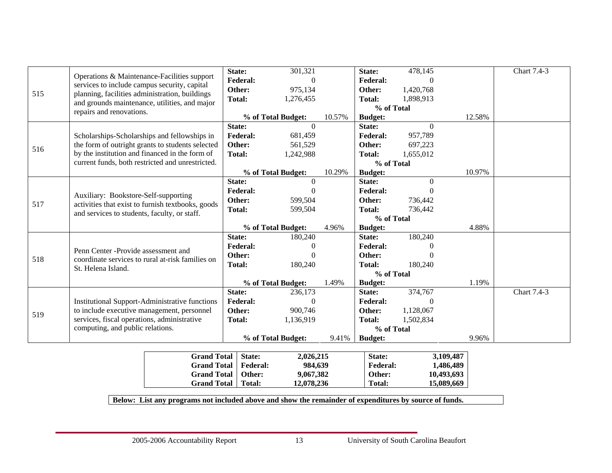|     |                                                                                                   |                                                       | State:                  | 301,321            |               | State:          | 478,145   |           | Chart 7.4-3 |
|-----|---------------------------------------------------------------------------------------------------|-------------------------------------------------------|-------------------------|--------------------|---------------|-----------------|-----------|-----------|-------------|
|     |                                                                                                   | Operations & Maintenance-Facilities support           | <b>Federal:</b>         | $\Omega$           |               | <b>Federal:</b> | $\Omega$  |           |             |
| 515 | services to include campus security, capital                                                      |                                                       | Other:                  | 975,134            |               | Other:          | 1,420,768 |           |             |
|     | planning, facilities administration, buildings                                                    | and grounds maintenance, utilities, and major         | <b>Total:</b>           | 1,276,455          |               | <b>Total:</b>   | 1,898,913 |           |             |
|     | repairs and renovations.                                                                          |                                                       |                         |                    |               | % of Total      |           |           |             |
|     |                                                                                                   |                                                       |                         | % of Total Budget: | 10.57%        | <b>Budget:</b>  |           | 12.58%    |             |
|     |                                                                                                   |                                                       | State:                  | $\Omega$           |               | State:          | $\Omega$  |           |             |
|     |                                                                                                   | Scholarships-Scholarships and fellowships in          | <b>Federal:</b>         | 681,459            |               | <b>Federal:</b> | 957,789   |           |             |
| 516 |                                                                                                   | the form of outright grants to students selected      | Other:                  | 561,529            |               | Other:          | 697,223   |           |             |
|     |                                                                                                   | by the institution and financed in the form of        | <b>Total:</b>           | 1,242,988          |               | <b>Total:</b>   | 1,655,012 |           |             |
|     |                                                                                                   | current funds, both restricted and unrestricted.      |                         |                    |               | % of Total      |           |           |             |
|     |                                                                                                   |                                                       |                         | % of Total Budget: | 10.29%        | <b>Budget:</b>  |           | 10.97%    |             |
|     |                                                                                                   |                                                       | State:                  | $\Omega$           |               | State:          | $\Omega$  |           |             |
|     | Auxiliary: Bookstore-Self-supporting                                                              |                                                       | <b>Federal:</b>         | $\theta$           |               | <b>Federal:</b> | $\theta$  |           |             |
| 517 |                                                                                                   |                                                       | Other:                  | 599,504            |               | Other:          | 736,442   |           |             |
|     | activities that exist to furnish textbooks, goods<br>and services to students, faculty, or staff. | <b>Total:</b>                                         | 599,504                 |                    | <b>Total:</b> | 736,442         |           |           |             |
|     |                                                                                                   |                                                       |                         |                    | % of Total    |                 |           |           |             |
|     |                                                                                                   |                                                       |                         | % of Total Budget: | 4.96%         | <b>Budget:</b>  |           | 4.88%     |             |
|     |                                                                                                   |                                                       | State:                  | 180,240            |               | State:          | 180,240   |           |             |
|     | Penn Center - Provide assessment and                                                              |                                                       | <b>Federal:</b>         | $\theta$           |               | <b>Federal:</b> | $\theta$  |           |             |
| 518 |                                                                                                   | coordinate services to rural at-risk families on      | Other:                  | $\theta$           |               | Other:          |           |           |             |
|     | St. Helena Island.                                                                                |                                                       | <b>Total:</b>           | 180,240            |               | <b>Total:</b>   | 180,240   |           |             |
|     |                                                                                                   |                                                       |                         |                    | % of Total    |                 |           |           |             |
|     |                                                                                                   |                                                       |                         | % of Total Budget: | 1.49%         | <b>Budget:</b>  |           | 1.19%     |             |
|     |                                                                                                   |                                                       | State:                  | 236,173            |               | State:          | 374,767   |           | Chart 7.4-3 |
|     |                                                                                                   | <b>Institutional Support-Administrative functions</b> | <b>Federal:</b>         | $\theta$           |               | <b>Federal:</b> | $\theta$  |           |             |
| 519 | to include executive management, personnel                                                        |                                                       | Other:<br><b>Total:</b> | 900,746            |               | Other:          | 1,128,067 |           |             |
|     |                                                                                                   | services, fiscal operations, administrative           |                         | 1,136,919          |               | <b>Total:</b>   | 1,502,834 |           |             |
|     | computing, and public relations.                                                                  |                                                       |                         |                    |               | % of Total      |           |           |             |
|     |                                                                                                   |                                                       |                         | % of Total Budget: | 9.41%         | <b>Budget:</b>  |           | 9.96%     |             |
|     |                                                                                                   |                                                       |                         |                    |               |                 |           |           |             |
|     |                                                                                                   | <b>Grand Total</b>                                    | State:                  | 2,026,215          |               | State:          |           | 3,109,487 |             |

| <b>Grand Total</b>   State: |          | 2.026.215  | <b>State:</b>   | 3.109.487  |
|-----------------------------|----------|------------|-----------------|------------|
| <b>Grand Total</b>          | Federal: | 984.639    | <b>Federal:</b> | 1.486.489  |
| Grand Total   Other:        |          | 9,067,382  | Other:          | 10,493,693 |
| <b>Grand Total</b>          | Total:   | 12,078,236 | Total:          | 15,089,669 |

**Below: List any programs not included above and show the remainder of expenditures by source of funds.**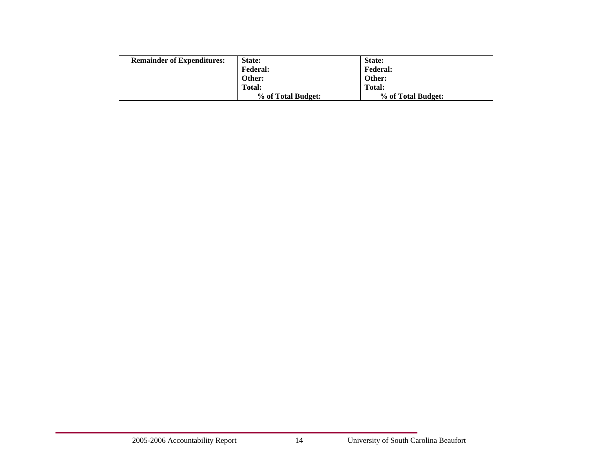| <b>Remainder of Expenditures:</b> | State:             | <b>State:</b>      |
|-----------------------------------|--------------------|--------------------|
|                                   | <b>Federal:</b>    | <b>Federal:</b>    |
|                                   | Other:             | Other:             |
|                                   | Total:             | Total:             |
|                                   | % of Total Budget: | % of Total Budget: |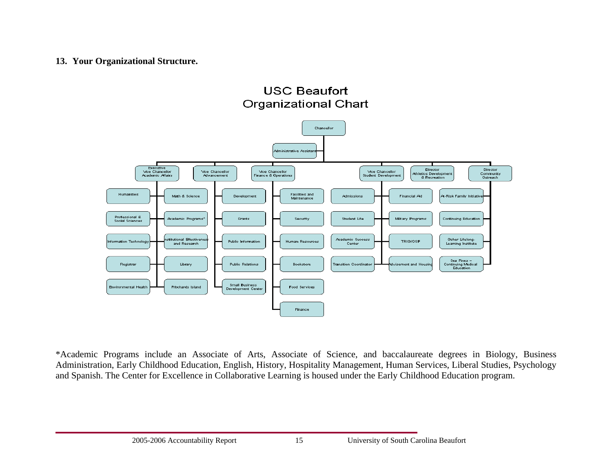#### **13. Your Organizational Structure.**

**USC Beaufort Organizational Chart** 



\*Academic Programs include an Associate of Arts, Associate of Science, and baccalaureate degrees in Biology, Business Administration, Early Childhood Education, English, History, Hospitality Management, Human Services, Liberal Studies, Psychology and Spanish. The Center for Excellence in Collaborative Learning is housed under the Early Childhood Education program.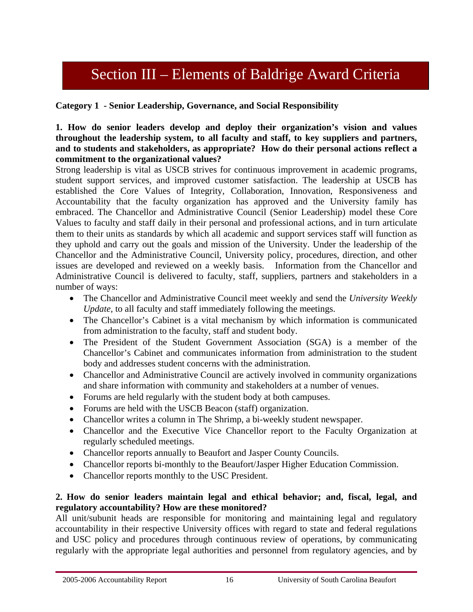# Section III – Elements of Baldrige Award Criteria

# **Category 1 - Senior Leadership, Governance, and Social Responsibility**

#### **1. How do senior leaders develop and deploy their organization's vision and values throughout the leadership system, to all faculty and staff, to key suppliers and partners, and to students and stakeholders, as appropriate? How do their personal actions reflect a commitment to the organizational values?**

Strong leadership is vital as USCB strives for continuous improvement in academic programs, student support services, and improved customer satisfaction. The leadership at USCB has established the Core Values of Integrity, Collaboration, Innovation, Responsiveness and Accountability that the faculty organization has approved and the University family has embraced. The Chancellor and Administrative Council (Senior Leadership) model these Core Values to faculty and staff daily in their personal and professional actions, and in turn articulate them to their units as standards by which all academic and support services staff will function as they uphold and carry out the goals and mission of the University. Under the leadership of the Chancellor and the Administrative Council, University policy, procedures, direction, and other issues are developed and reviewed on a weekly basis. Information from the Chancellor and Administrative Council is delivered to faculty, staff, suppliers, partners and stakeholders in a number of ways:

- The Chancellor and Administrative Council meet weekly and send the *University Weekly Update,* to all faculty and staff immediately following the meetings.
- The Chancellor's Cabinet is a vital mechanism by which information is communicated from administration to the faculty, staff and student body.
- The President of the Student Government Association (SGA) is a member of the Chancellor's Cabinet and communicates information from administration to the student body and addresses student concerns with the administration.
- Chancellor and Administrative Council are actively involved in community organizations and share information with community and stakeholders at a number of venues.
- Forums are held regularly with the student body at both campuses.
- Forums are held with the USCB Beacon (staff) organization.
- Chancellor writes a column in The Shrimp, a bi-weekly student newspaper.
- Chancellor and the Executive Vice Chancellor report to the Faculty Organization at regularly scheduled meetings.
- Chancellor reports annually to Beaufort and Jasper County Councils.
- Chancellor reports bi-monthly to the Beaufort/Jasper Higher Education Commission.
- Chancellor reports monthly to the USC President.

#### **2. How do senior leaders maintain legal and ethical behavior; and, fiscal, legal, and regulatory accountability? How are these monitored?**

All unit/subunit heads are responsible for monitoring and maintaining legal and regulatory accountability in their respective University offices with regard to state and federal regulations and USC policy and procedures through continuous review of operations, by communicating regularly with the appropriate legal authorities and personnel from regulatory agencies, and by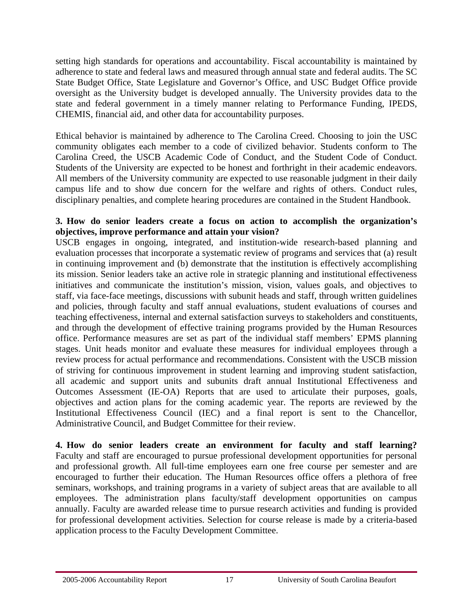setting high standards for operations and accountability. Fiscal accountability is maintained by adherence to state and federal laws and measured through annual state and federal audits. The SC State Budget Office, State Legislature and Governor's Office, and USC Budget Office provide oversight as the University budget is developed annually. The University provides data to the state and federal government in a timely manner relating to Performance Funding, IPEDS, CHEMIS, financial aid, and other data for accountability purposes.

Ethical behavior is maintained by adherence to The Carolina Creed. Choosing to join the USC community obligates each member to a code of civilized behavior. Students conform to The Carolina Creed, the USCB Academic Code of Conduct, and the Student Code of Conduct. Students of the University are expected to be honest and forthright in their academic endeavors. All members of the University community are expected to use reasonable judgment in their daily campus life and to show due concern for the welfare and rights of others. Conduct rules, disciplinary penalties, and complete hearing procedures are contained in the Student Handbook.

#### **3. How do senior leaders create a focus on action to accomplish the organization's objectives, improve performance and attain your vision?**

USCB engages in ongoing, integrated, and institution-wide research-based planning and evaluation processes that incorporate a systematic review of programs and services that (a) result in continuing improvement and (b) demonstrate that the institution is effectively accomplishing its mission. Senior leaders take an active role in strategic planning and institutional effectiveness initiatives and communicate the institution's mission, vision, values goals, and objectives to staff, via face-face meetings, discussions with subunit heads and staff, through written guidelines and policies, through faculty and staff annual evaluations, student evaluations of courses and teaching effectiveness, internal and external satisfaction surveys to stakeholders and constituents, and through the development of effective training programs provided by the Human Resources office. Performance measures are set as part of the individual staff members' EPMS planning stages. Unit heads monitor and evaluate these measures for individual employees through a review process for actual performance and recommendations. Consistent with the USCB mission of striving for continuous improvement in student learning and improving student satisfaction, all academic and support units and subunits draft annual Institutional Effectiveness and Outcomes Assessment (IE-OA) Reports that are used to articulate their purposes, goals, objectives and action plans for the coming academic year. The reports are reviewed by the Institutional Effectiveness Council (IEC) and a final report is sent to the Chancellor, Administrative Council, and Budget Committee for their review.

**4. How do senior leaders create an environment for faculty and staff learning?**  Faculty and staff are encouraged to pursue professional development opportunities for personal and professional growth. All full-time employees earn one free course per semester and are encouraged to further their education. The Human Resources office offers a plethora of free seminars, workshops, and training programs in a variety of subject areas that are available to all employees. The administration plans faculty/staff development opportunities on campus annually. Faculty are awarded release time to pursue research activities and funding is provided for professional development activities. Selection for course release is made by a criteria-based application process to the Faculty Development Committee.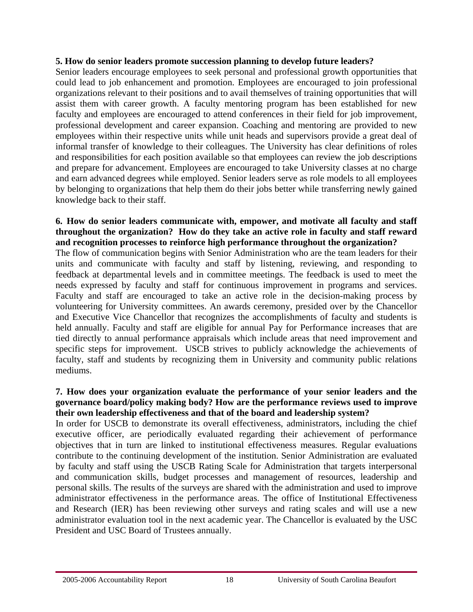#### **5. How do senior leaders promote succession planning to develop future leaders?**

Senior leaders encourage employees to seek personal and professional growth opportunities that could lead to job enhancement and promotion. Employees are encouraged to join professional organizations relevant to their positions and to avail themselves of training opportunities that will assist them with career growth. A faculty mentoring program has been established for new faculty and employees are encouraged to attend conferences in their field for job improvement, professional development and career expansion. Coaching and mentoring are provided to new employees within their respective units while unit heads and supervisors provide a great deal of informal transfer of knowledge to their colleagues. The University has clear definitions of roles and responsibilities for each position available so that employees can review the job descriptions and prepare for advancement. Employees are encouraged to take University classes at no charge and earn advanced degrees while employed. Senior leaders serve as role models to all employees by belonging to organizations that help them do their jobs better while transferring newly gained knowledge back to their staff.

# **6. How do senior leaders communicate with, empower, and motivate all faculty and staff throughout the organization? How do they take an active role in faculty and staff reward and recognition processes to reinforce high performance throughout the organization?**

The flow of communication begins with Senior Administration who are the team leaders for their units and communicate with faculty and staff by listening, reviewing, and responding to feedback at departmental levels and in committee meetings. The feedback is used to meet the needs expressed by faculty and staff for continuous improvement in programs and services. Faculty and staff are encouraged to take an active role in the decision-making process by volunteering for University committees. An awards ceremony, presided over by the Chancellor and Executive Vice Chancellor that recognizes the accomplishments of faculty and students is held annually. Faculty and staff are eligible for annual Pay for Performance increases that are tied directly to annual performance appraisals which include areas that need improvement and specific steps for improvement. USCB strives to publicly acknowledge the achievements of faculty, staff and students by recognizing them in University and community public relations mediums.

#### **7. How does your organization evaluate the performance of your senior leaders and the governance board/policy making body? How are the performance reviews used to improve their own leadership effectiveness and that of the board and leadership system?**

In order for USCB to demonstrate its overall effectiveness, administrators, including the chief executive officer, are periodically evaluated regarding their achievement of performance objectives that in turn are linked to institutional effectiveness measures. Regular evaluations contribute to the continuing development of the institution. Senior Administration are evaluated by faculty and staff using the USCB Rating Scale for Administration that targets interpersonal and communication skills, budget processes and management of resources, leadership and personal skills. The results of the surveys are shared with the administration and used to improve administrator effectiveness in the performance areas. The office of Institutional Effectiveness and Research (IER) has been reviewing other surveys and rating scales and will use a new administrator evaluation tool in the next academic year. The Chancellor is evaluated by the USC President and USC Board of Trustees annually.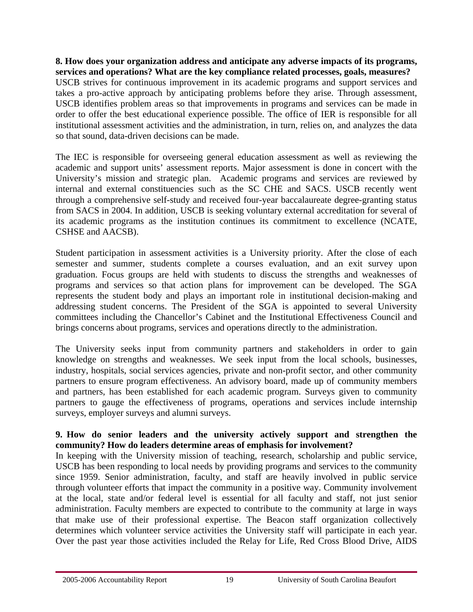#### **8. How does your organization address and anticipate any adverse impacts of its programs, services and operations? What are the key compliance related processes, goals, measures?**

USCB strives for continuous improvement in its academic programs and support services and takes a pro-active approach by anticipating problems before they arise. Through assessment, USCB identifies problem areas so that improvements in programs and services can be made in order to offer the best educational experience possible. The office of IER is responsible for all institutional assessment activities and the administration, in turn, relies on, and analyzes the data so that sound, data-driven decisions can be made.

The IEC is responsible for overseeing general education assessment as well as reviewing the academic and support units' assessment reports. Major assessment is done in concert with the University's mission and strategic plan. Academic programs and services are reviewed by internal and external constituencies such as the SC CHE and SACS. USCB recently went through a comprehensive self-study and received four-year baccalaureate degree-granting status from SACS in 2004. In addition, USCB is seeking voluntary external accreditation for several of its academic programs as the institution continues its commitment to excellence (NCATE, CSHSE and AACSB).

Student participation in assessment activities is a University priority. After the close of each semester and summer, students complete a courses evaluation, and an exit survey upon graduation. Focus groups are held with students to discuss the strengths and weaknesses of programs and services so that action plans for improvement can be developed. The SGA represents the student body and plays an important role in institutional decision-making and addressing student concerns. The President of the SGA is appointed to several University committees including the Chancellor's Cabinet and the Institutional Effectiveness Council and brings concerns about programs, services and operations directly to the administration.

The University seeks input from community partners and stakeholders in order to gain knowledge on strengths and weaknesses. We seek input from the local schools, businesses, industry, hospitals, social services agencies, private and non-profit sector, and other community partners to ensure program effectiveness. An advisory board, made up of community members and partners, has been established for each academic program. Surveys given to community partners to gauge the effectiveness of programs, operations and services include internship surveys, employer surveys and alumni surveys.

#### **9. How do senior leaders and the university actively support and strengthen the community? How do leaders determine areas of emphasis for involvement?**

In keeping with the University mission of teaching, research, scholarship and public service, USCB has been responding to local needs by providing programs and services to the community since 1959. Senior administration, faculty, and staff are heavily involved in public service through volunteer efforts that impact the community in a positive way. Community involvement at the local, state and/or federal level is essential for all faculty and staff, not just senior administration. Faculty members are expected to contribute to the community at large in ways that make use of their professional expertise. The Beacon staff organization collectively determines which volunteer service activities the University staff will participate in each year. Over the past year those activities included the Relay for Life, Red Cross Blood Drive, AIDS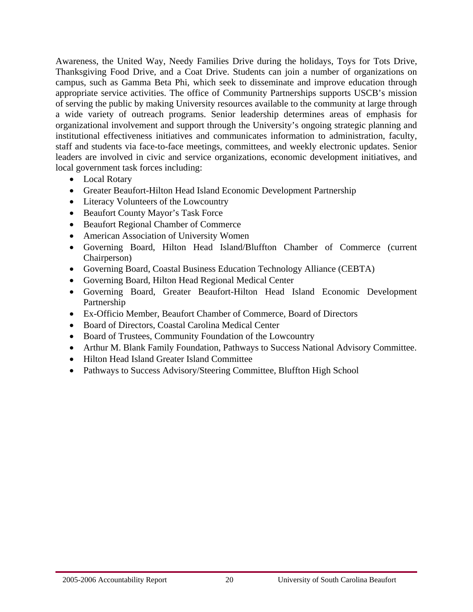Awareness, the United Way, Needy Families Drive during the holidays, Toys for Tots Drive, Thanksgiving Food Drive, and a Coat Drive. Students can join a number of organizations on campus, such as Gamma Beta Phi, which seek to disseminate and improve education through appropriate service activities. The office of Community Partnerships supports USCB's mission of serving the public by making University resources available to the community at large through a wide variety of outreach programs. Senior leadership determines areas of emphasis for organizational involvement and support through the University's ongoing strategic planning and institutional effectiveness initiatives and communicates information to administration, faculty, staff and students via face-to-face meetings, committees, and weekly electronic updates. Senior leaders are involved in civic and service organizations, economic development initiatives, and local government task forces including:

- Local Rotary
- Greater Beaufort-Hilton Head Island Economic Development Partnership
- Literacy Volunteers of the Lowcountry
- Beaufort County Mayor's Task Force
- Beaufort Regional Chamber of Commerce
- American Association of University Women
- Governing Board, Hilton Head Island/Bluffton Chamber of Commerce (current Chairperson)
- Governing Board, Coastal Business Education Technology Alliance (CEBTA)
- Governing Board, Hilton Head Regional Medical Center
- Governing Board, Greater Beaufort-Hilton Head Island Economic Development Partnership
- Ex-Officio Member, Beaufort Chamber of Commerce, Board of Directors
- Board of Directors, Coastal Carolina Medical Center
- Board of Trustees, Community Foundation of the Lowcountry
- Arthur M. Blank Family Foundation, Pathways to Success National Advisory Committee.
- Hilton Head Island Greater Island Committee
- Pathways to Success Advisory/Steering Committee, Bluffton High School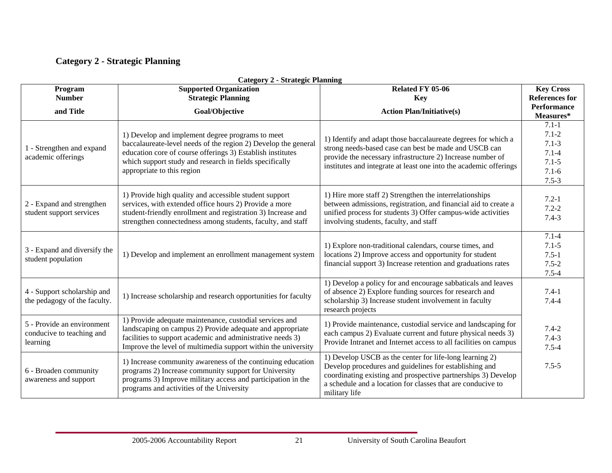# **Category 2 - Strategic Planning**

| Program                                                             | Category $2$ - Strategic Fianning<br><b>Supported Organization</b>                                                                                                                                                                                                        | Related FY 05-06                                                                                                                                                                                                                                                   | <b>Key Cross</b>                                                                        |
|---------------------------------------------------------------------|---------------------------------------------------------------------------------------------------------------------------------------------------------------------------------------------------------------------------------------------------------------------------|--------------------------------------------------------------------------------------------------------------------------------------------------------------------------------------------------------------------------------------------------------------------|-----------------------------------------------------------------------------------------|
| <b>Number</b>                                                       | <b>Strategic Planning</b><br><b>Key</b>                                                                                                                                                                                                                                   |                                                                                                                                                                                                                                                                    | <b>References for</b><br><b>Performance</b>                                             |
| and Title                                                           | Goal/Objective                                                                                                                                                                                                                                                            | <b>Action Plan/Initiative(s)</b>                                                                                                                                                                                                                                   | Measures*                                                                               |
| 1 - Strengthen and expand<br>academic offerings                     | 1) Develop and implement degree programs to meet<br>baccalaureate-level needs of the region 2) Develop the general<br>education core of course offerings 3) Establish institutes<br>which support study and research in fields specifically<br>appropriate to this region | 1) Identify and adapt those baccalaureate degrees for which a<br>strong needs-based case can best be made and USCB can<br>provide the necessary infrastructure 2) Increase number of<br>institutes and integrate at least one into the academic offerings          | $7.1 - 1$<br>$7.1 - 2$<br>$7.1 - 3$<br>$7.1 - 4$<br>$7.1 - 5$<br>$7.1 - 6$<br>$7.5 - 3$ |
| 2 - Expand and strengthen<br>student support services               | 1) Provide high quality and accessible student support<br>services, with extended office hours 2) Provide a more<br>student-friendly enrollment and registration 3) Increase and<br>strengthen connectedness among students, faculty, and staff                           | 1) Hire more staff 2) Strengthen the interrelationships<br>between admissions, registration, and financial aid to create a<br>unified process for students 3) Offer campus-wide activities<br>involving students, faculty, and staff                               | $7.2 - 1$<br>$7.2 - 2$<br>$7.4 - 3$                                                     |
| 3 - Expand and diversify the<br>student population                  | 1) Develop and implement an enrollment management system                                                                                                                                                                                                                  | 1) Explore non-traditional calendars, course times, and<br>locations 2) Improve access and opportunity for student<br>financial support 3) Increase retention and graduations rates                                                                                | $7.1 - 4$<br>$7.1 - 5$<br>$7.5 - 1$<br>$7.5 - 2$<br>$7.5 - 4$                           |
| 4 - Support scholarship and<br>the pedagogy of the faculty.         | 1) Increase scholarship and research opportunities for faculty                                                                                                                                                                                                            | 1) Develop a policy for and encourage sabbaticals and leaves<br>of absence 2) Explore funding sources for research and<br>scholarship 3) Increase student involvement in faculty<br>research projects                                                              | $7.4-1$<br>$7.4 - 4$                                                                    |
| 5 - Provide an environment<br>conducive to teaching and<br>learning | 1) Provide adequate maintenance, custodial services and<br>landscaping on campus 2) Provide adequate and appropriate<br>facilities to support academic and administrative needs 3)<br>Improve the level of multimedia support within the university                       | 1) Provide maintenance, custodial service and landscaping for<br>each campus 2) Evaluate current and future physical needs 3)<br>Provide Intranet and Internet access to all facilities on campus                                                                  | $7.4 - 2$<br>$7.4 - 3$<br>$7.5 - 4$                                                     |
| 6 - Broaden community<br>awareness and support                      | 1) Increase community awareness of the continuing education<br>programs 2) Increase community support for University<br>programs 3) Improve military access and participation in the<br>programs and activities of the University                                         | 1) Develop USCB as the center for life-long learning 2)<br>Develop procedures and guidelines for establishing and<br>coordinating existing and prospective partnerships 3) Develop<br>a schedule and a location for classes that are conducive to<br>military life | $7.5 - 5$                                                                               |

#### **Category 2 - Strategic Planning**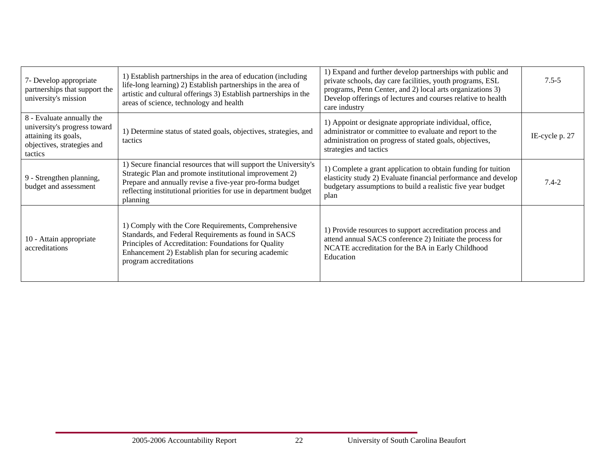| 7- Develop appropriate<br>partnerships that support the<br>university's mission                                            | 1) Establish partnerships in the area of education (including<br>life-long learning) 2) Establish partnerships in the area of<br>artistic and cultural offerings 3) Establish partnerships in the<br>areas of science, technology and health                            | 1) Expand and further develop partnerships with public and<br>private schools, day care facilities, youth programs, ESL<br>programs, Penn Center, and 2) local arts organizations 3)<br>Develop offerings of lectures and courses relative to health<br>care industry | $7.5 - 5$      |
|----------------------------------------------------------------------------------------------------------------------------|-------------------------------------------------------------------------------------------------------------------------------------------------------------------------------------------------------------------------------------------------------------------------|-----------------------------------------------------------------------------------------------------------------------------------------------------------------------------------------------------------------------------------------------------------------------|----------------|
| 8 - Evaluate annually the<br>university's progress toward<br>attaining its goals,<br>objectives, strategies and<br>tactics | 1) Determine status of stated goals, objectives, strategies, and<br>tactics                                                                                                                                                                                             | 1) Appoint or designate appropriate individual, office,<br>administrator or committee to evaluate and report to the<br>administration on progress of stated goals, objectives,<br>strategies and tactics                                                              | IE-cycle p. 27 |
| 9 - Strengthen planning,<br>budget and assessment                                                                          | 1) Secure financial resources that will support the University's<br>Strategic Plan and promote institutional improvement 2)<br>Prepare and annually revise a five-year pro-forma budget<br>reflecting institutional priorities for use in department budget<br>planning | 1) Complete a grant application to obtain funding for tuition<br>elasticity study 2) Evaluate financial performance and develop<br>budgetary assumptions to build a realistic five year budget<br>plan                                                                | $7.4 - 2$      |
| 10 - Attain appropriate<br>accreditations                                                                                  | 1) Comply with the Core Requirements, Comprehensive<br>Standards, and Federal Requirements as found in SACS<br>Principles of Accreditation: Foundations for Quality<br>Enhancement 2) Establish plan for securing academic<br>program accreditations                    | 1) Provide resources to support accreditation process and<br>attend annual SACS conference 2) Initiate the process for<br>NCATE accreditation for the BA in Early Childhood<br>Education                                                                              |                |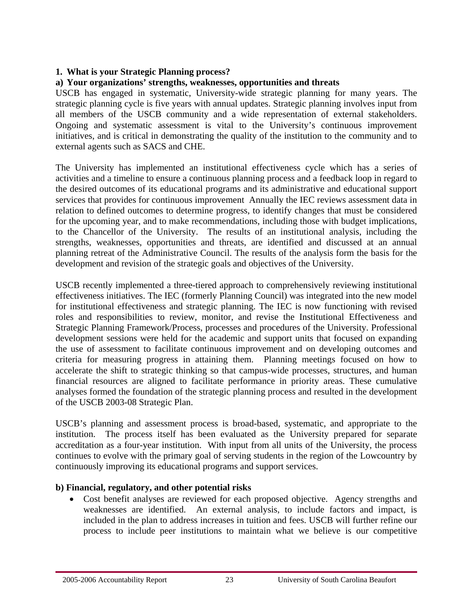# **1. What is your Strategic Planning process?**

# **a) Your organizations' strengths, weaknesses, opportunities and threats**

USCB has engaged in systematic, University-wide strategic planning for many years. The strategic planning cycle is five years with annual updates. Strategic planning involves input from all members of the USCB community and a wide representation of external stakeholders. Ongoing and systematic assessment is vital to the University's continuous improvement initiatives, and is critical in demonstrating the quality of the institution to the community and to external agents such as SACS and CHE.

The University has implemented an institutional effectiveness cycle which has a series of activities and a timeline to ensure a continuous planning process and a feedback loop in regard to the desired outcomes of its educational programs and its administrative and educational support services that provides for continuous improvement Annually the IEC reviews assessment data in relation to defined outcomes to determine progress, to identify changes that must be considered for the upcoming year, and to make recommendations, including those with budget implications, to the Chancellor of the University. The results of an institutional analysis, including the strengths, weaknesses, opportunities and threats, are identified and discussed at an annual planning retreat of the Administrative Council. The results of the analysis form the basis for the development and revision of the strategic goals and objectives of the University.

USCB recently implemented a three-tiered approach to comprehensively reviewing institutional effectiveness initiatives. The IEC (formerly Planning Council) was integrated into the new model for institutional effectiveness and strategic planning. The IEC is now functioning with revised roles and responsibilities to review, monitor, and revise the Institutional Effectiveness and Strategic Planning Framework/Process, processes and procedures of the University. Professional development sessions were held for the academic and support units that focused on expanding the use of assessment to facilitate continuous improvement and on developing outcomes and criteria for measuring progress in attaining them. Planning meetings focused on how to accelerate the shift to strategic thinking so that campus-wide processes, structures, and human financial resources are aligned to facilitate performance in priority areas. These cumulative analyses formed the foundation of the strategic planning process and resulted in the development of the USCB 2003-08 Strategic Plan.

USCB's planning and assessment process is broad-based, systematic, and appropriate to the institution. The process itself has been evaluated as the University prepared for separate accreditation as a four-year institution. With input from all units of the University, the process continues to evolve with the primary goal of serving students in the region of the Lowcountry by continuously improving its educational programs and support services.

# **b) Financial, regulatory, and other potential risks**

• Cost benefit analyses are reviewed for each proposed objective. Agency strengths and weaknesses are identified. An external analysis, to include factors and impact, is included in the plan to address increases in tuition and fees. USCB will further refine our process to include peer institutions to maintain what we believe is our competitive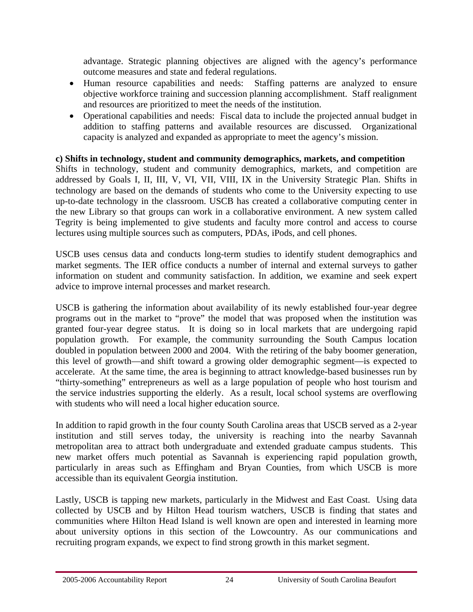advantage. Strategic planning objectives are aligned with the agency's performance outcome measures and state and federal regulations.

- Human resource capabilities and needs:Staffing patterns are analyzed to ensure objective workforce training and succession planning accomplishment. Staff realignment and resources are prioritized to meet the needs of the institution.
- Operational capabilities and needs: Fiscal data to include the projected annual budget in addition to staffing patterns and available resources are discussed. Organizational capacity is analyzed and expanded as appropriate to meet the agency's mission.

# **c) Shifts in technology, student and community demographics, markets, and competition**

Shifts in technology, student and community demographics, markets, and competition are addressed by Goals I, II, III, V, VI, VII, VIII, IX in the University Strategic Plan. Shifts in technology are based on the demands of students who come to the University expecting to use up-to-date technology in the classroom. USCB has created a collaborative computing center in the new Library so that groups can work in a collaborative environment. A new system called Tegrity is being implemented to give students and faculty more control and access to course lectures using multiple sources such as computers, PDAs, iPods, and cell phones.

USCB uses census data and conducts long-term studies to identify student demographics and market segments. The IER office conducts a number of internal and external surveys to gather information on student and community satisfaction. In addition, we examine and seek expert advice to improve internal processes and market research.

USCB is gathering the information about availability of its newly established four-year degree programs out in the market to "prove" the model that was proposed when the institution was granted four-year degree status. It is doing so in local markets that are undergoing rapid population growth. For example, the community surrounding the South Campus location doubled in population between 2000 and 2004. With the retiring of the baby boomer generation, this level of growth—and shift toward a growing older demographic segment—is expected to accelerate. At the same time, the area is beginning to attract knowledge-based businesses run by "thirty-something" entrepreneurs as well as a large population of people who host tourism and the service industries supporting the elderly. As a result, local school systems are overflowing with students who will need a local higher education source.

In addition to rapid growth in the four county South Carolina areas that USCB served as a 2-year institution and still serves today, the university is reaching into the nearby Savannah metropolitan area to attract both undergraduate and extended graduate campus students. This new market offers much potential as Savannah is experiencing rapid population growth, particularly in areas such as Effingham and Bryan Counties, from which USCB is more accessible than its equivalent Georgia institution.

Lastly, USCB is tapping new markets, particularly in the Midwest and East Coast. Using data collected by USCB and by Hilton Head tourism watchers, USCB is finding that states and communities where Hilton Head Island is well known are open and interested in learning more about university options in this section of the Lowcountry. As our communications and recruiting program expands, we expect to find strong growth in this market segment.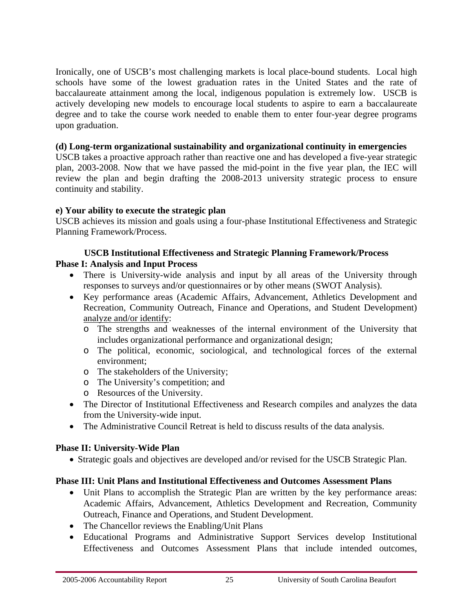Ironically, one of USCB's most challenging markets is local place-bound students. Local high schools have some of the lowest graduation rates in the United States and the rate of baccalaureate attainment among the local, indigenous population is extremely low. USCB is actively developing new models to encourage local students to aspire to earn a baccalaureate degree and to take the course work needed to enable them to enter four-year degree programs upon graduation.

#### **(d) Long-term organizational sustainability and organizational continuity in emergencies**

USCB takes a proactive approach rather than reactive one and has developed a five-year strategic plan, 2003-2008. Now that we have passed the mid-point in the five year plan, the IEC will review the plan and begin drafting the 2008-2013 university strategic process to ensure continuity and stability.

#### **e) Your ability to execute the strategic plan**

USCB achieves its mission and goals using a four-phase Institutional Effectiveness and Strategic Planning Framework/Process.

#### **USCB Institutional Effectiveness and Strategic Planning Framework/Process Phase I: Analysis and Input Process**

- There is University-wide analysis and input by all areas of the University through responses to surveys and/or questionnaires or by other means (SWOT Analysis).
- Key performance areas (Academic Affairs, Advancement, Athletics Development and Recreation, Community Outreach, Finance and Operations, and Student Development) analyze and/or identify:
	- o The strengths and weaknesses of the internal environment of the University that includes organizational performance and organizational design;
	- o The political, economic, sociological, and technological forces of the external environment;
	- o The stakeholders of the University;
	- o The University's competition; and
	- o Resources of the University.
- The Director of Institutional Effectiveness and Research compiles and analyzes the data from the University-wide input.
- The Administrative Council Retreat is held to discuss results of the data analysis.

#### **Phase II: University-Wide Plan**

• Strategic goals and objectives are developed and/or revised for the USCB Strategic Plan.

#### **Phase III: Unit Plans and Institutional Effectiveness and Outcomes Assessment Plans**

- Unit Plans to accomplish the Strategic Plan are written by the key performance areas: Academic Affairs, Advancement, Athletics Development and Recreation, Community Outreach, Finance and Operations, and Student Development.
- The Chancellor reviews the Enabling/Unit Plans
- Educational Programs and Administrative Support Services develop Institutional Effectiveness and Outcomes Assessment Plans that include intended outcomes,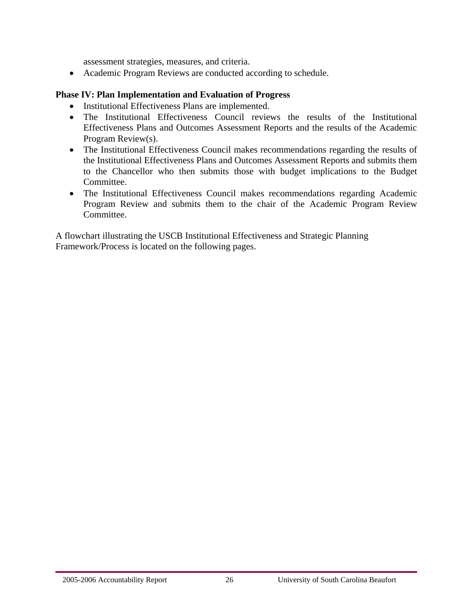assessment strategies, measures, and criteria.

• Academic Program Reviews are conducted according to schedule.

#### **Phase IV: Plan Implementation and Evaluation of Progress**

- Institutional Effectiveness Plans are implemented.
- The Institutional Effectiveness Council reviews the results of the Institutional Effectiveness Plans and Outcomes Assessment Reports and the results of the Academic Program Review(s).
- The Institutional Effectiveness Council makes recommendations regarding the results of the Institutional Effectiveness Plans and Outcomes Assessment Reports and submits them to the Chancellor who then submits those with budget implications to the Budget Committee.
- The Institutional Effectiveness Council makes recommendations regarding Academic Program Review and submits them to the chair of the Academic Program Review Committee.

A flowchart illustrating the USCB Institutional Effectiveness and Strategic Planning Framework/Process is located on the following pages.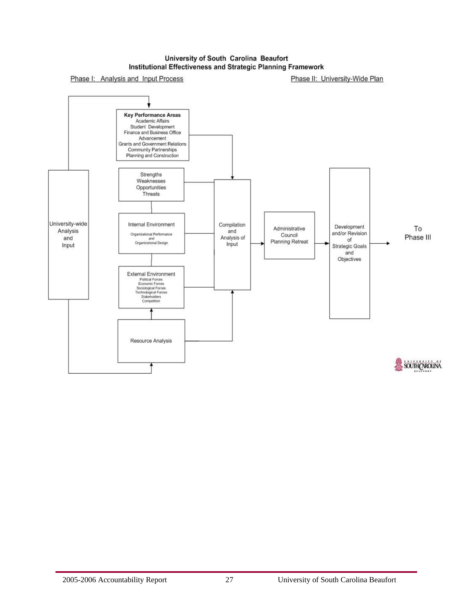#### University of South Carolina Beaufort Institutional Effectiveness and Strategic Planning Framework

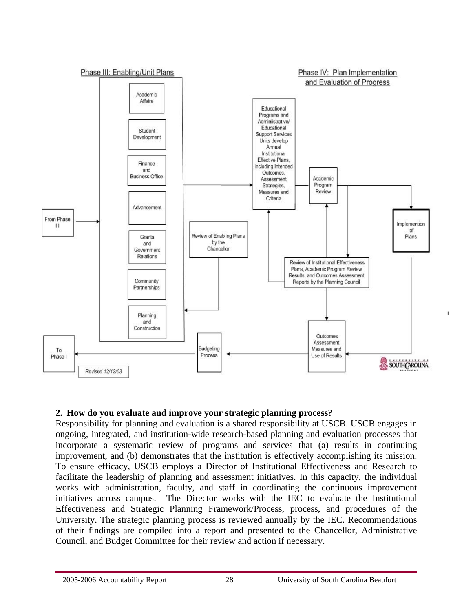

# **2. How do you evaluate and improve your strategic planning process?**

Responsibility for planning and evaluation is a shared responsibility at USCB. USCB engages in ongoing, integrated, and institution-wide research-based planning and evaluation processes that incorporate a systematic review of programs and services that (a) results in continuing improvement, and (b) demonstrates that the institution is effectively accomplishing its mission. To ensure efficacy, USCB employs a Director of Institutional Effectiveness and Research to facilitate the leadership of planning and assessment initiatives. In this capacity, the individual works with administration, faculty, and staff in coordinating the continuous improvement initiatives across campus. The Director works with the IEC to evaluate the Institutional Effectiveness and Strategic Planning Framework/Process, process, and procedures of the University. The strategic planning process is reviewed annually by the IEC. Recommendations of their findings are compiled into a report and presented to the Chancellor, Administrative Council, and Budget Committee for their review and action if necessary.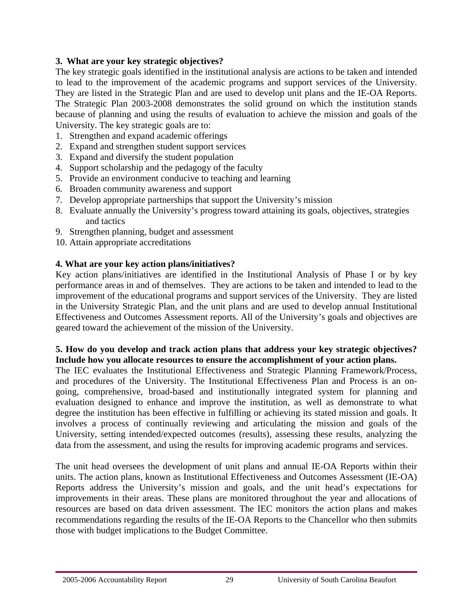# **3. What are your key strategic objectives?**

The key strategic goals identified in the institutional analysis are actions to be taken and intended to lead to the improvement of the academic programs and support services of the University. They are listed in the Strategic Plan and are used to develop unit plans and the IE-OA Reports. The Strategic Plan 2003-2008 demonstrates the solid ground on which the institution stands because of planning and using the results of evaluation to achieve the mission and goals of the University. The key strategic goals are to:

- 1. Strengthen and expand academic offerings
- 2. Expand and strengthen student support services
- 3. Expand and diversify the student population
- 4. Support scholarship and the pedagogy of the faculty
- 5. Provide an environment conducive to teaching and learning
- 6. Broaden community awareness and support
- 7. Develop appropriate partnerships that support the University's mission
- 8. Evaluate annually the University's progress toward attaining its goals, objectives, strategies and tactics
- 9. Strengthen planning, budget and assessment
- 10. Attain appropriate accreditations

# **4. What are your key action plans/initiatives?**

Key action plans/initiatives are identified in the Institutional Analysis of Phase I or by key performance areas in and of themselves. They are actions to be taken and intended to lead to the improvement of the educational programs and support services of the University. They are listed in the University Strategic Plan, and the unit plans and are used to develop annual Institutional Effectiveness and Outcomes Assessment reports. All of the University's goals and objectives are geared toward the achievement of the mission of the University.

#### **5. How do you develop and track action plans that address your key strategic objectives? Include how you allocate resources to ensure the accomplishment of your action plans.**

The IEC evaluates the Institutional Effectiveness and Strategic Planning Framework/Process, and procedures of the University. The Institutional Effectiveness Plan and Process is an ongoing, comprehensive, broad-based and institutionally integrated system for planning and evaluation designed to enhance and improve the institution, as well as demonstrate to what degree the institution has been effective in fulfilling or achieving its stated mission and goals. It involves a process of continually reviewing and articulating the mission and goals of the University, setting intended/expected outcomes (results), assessing these results, analyzing the data from the assessment, and using the results for improving academic programs and services.

The unit head oversees the development of unit plans and annual IE-OA Reports within their units. The action plans, known as Institutional Effectiveness and Outcomes Assessment (IE-OA) Reports address the University's mission and goals, and the unit head's expectations for improvements in their areas. These plans are monitored throughout the year and allocations of resources are based on data driven assessment. The IEC monitors the action plans and makes recommendations regarding the results of the IE-OA Reports to the Chancellor who then submits those with budget implications to the Budget Committee.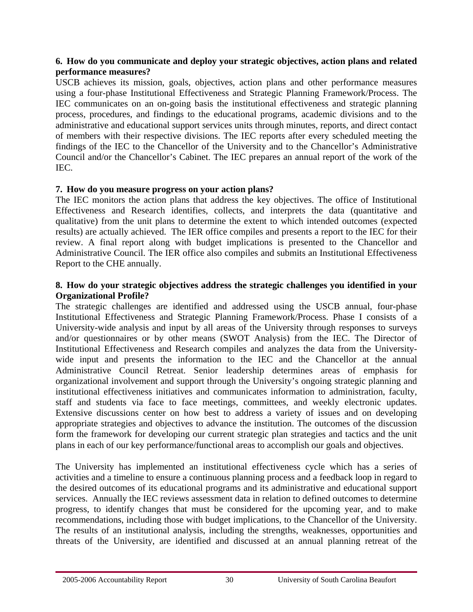#### **6. How do you communicate and deploy your strategic objectives, action plans and related performance measures?**

USCB achieves its mission, goals, objectives, action plans and other performance measures using a four-phase Institutional Effectiveness and Strategic Planning Framework/Process. The IEC communicates on an on-going basis the institutional effectiveness and strategic planning process, procedures, and findings to the educational programs, academic divisions and to the administrative and educational support services units through minutes, reports, and direct contact of members with their respective divisions. The IEC reports after every scheduled meeting the findings of the IEC to the Chancellor of the University and to the Chancellor's Administrative Council and/or the Chancellor's Cabinet. The IEC prepares an annual report of the work of the IEC.

# **7. How do you measure progress on your action plans?**

The IEC monitors the action plans that address the key objectives. The office of Institutional Effectiveness and Research identifies, collects, and interprets the data (quantitative and qualitative) from the unit plans to determine the extent to which intended outcomes (expected results) are actually achieved. The IER office compiles and presents a report to the IEC for their review. A final report along with budget implications is presented to the Chancellor and Administrative Council. The IER office also compiles and submits an Institutional Effectiveness Report to the CHE annually.

#### **8. How do your strategic objectives address the strategic challenges you identified in your Organizational Profile?**

The strategic challenges are identified and addressed using the USCB annual, four-phase Institutional Effectiveness and Strategic Planning Framework/Process. Phase I consists of a University-wide analysis and input by all areas of the University through responses to surveys and/or questionnaires or by other means (SWOT Analysis) from the IEC. The Director of Institutional Effectiveness and Research compiles and analyzes the data from the Universitywide input and presents the information to the IEC and the Chancellor at the annual Administrative Council Retreat. Senior leadership determines areas of emphasis for organizational involvement and support through the University's ongoing strategic planning and institutional effectiveness initiatives and communicates information to administration, faculty, staff and students via face to face meetings, committees, and weekly electronic updates. Extensive discussions center on how best to address a variety of issues and on developing appropriate strategies and objectives to advance the institution. The outcomes of the discussion form the framework for developing our current strategic plan strategies and tactics and the unit plans in each of our key performance/functional areas to accomplish our goals and objectives.

The University has implemented an institutional effectiveness cycle which has a series of activities and a timeline to ensure a continuous planning process and a feedback loop in regard to the desired outcomes of its educational programs and its administrative and educational support services. Annually the IEC reviews assessment data in relation to defined outcomes to determine progress, to identify changes that must be considered for the upcoming year, and to make recommendations, including those with budget implications, to the Chancellor of the University. The results of an institutional analysis, including the strengths, weaknesses, opportunities and threats of the University, are identified and discussed at an annual planning retreat of the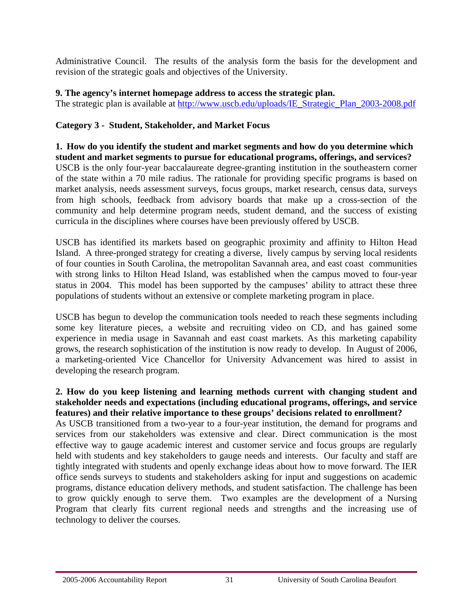Administrative Council. The results of the analysis form the basis for the development and revision of the strategic goals and objectives of the University.

#### **9. The agency's internet homepage address to access the strategic plan.**

The strategic plan is available at [http://www.uscb.edu/uploads/IE\\_Strategic\\_Plan\\_2003-2008.pdf](http://www.uscb.edu/uploads/IE_Strategic_Plan_2003-2008.pdf)

# **Category 3 - Student, Stakeholder, and Market Focus**

**1. How do you identify the student and market segments and how do you determine which student and market segments to pursue for educational programs, offerings, and services?**  USCB is the only four-year baccalaureate degree-granting institution in the southeastern corner of the state within a 70 mile radius. The rationale for providing specific programs is based on market analysis, needs assessment surveys, focus groups, market research, census data, surveys from high schools, feedback from advisory boards that make up a cross-section of the community and help determine program needs, student demand, and the success of existing curricula in the disciplines where courses have been previously offered by USCB.

USCB has identified its markets based on geographic proximity and affinity to Hilton Head Island. A three-pronged strategy for creating a diverse, lively campus by serving local residents of four counties in South Carolina, the metropolitan Savannah area, and east coast communities with strong links to Hilton Head Island, was established when the campus moved to four-year status in 2004. This model has been supported by the campuses' ability to attract these three populations of students without an extensive or complete marketing program in place.

USCB has begun to develop the communication tools needed to reach these segments including some key literature pieces, a website and recruiting video on CD, and has gained some experience in media usage in Savannah and east coast markets. As this marketing capability grows, the research sophistication of the institution is now ready to develop. In August of 2006, a marketing-oriented Vice Chancellor for University Advancement was hired to assist in developing the research program.

#### **2. How do you keep listening and learning methods current with changing student and stakeholder needs and expectations (including educational programs, offerings, and service features) and their relative importance to these groups' decisions related to enrollment?**

As USCB transitioned from a two-year to a four-year institution, the demand for programs and services from our stakeholders was extensive and clear. Direct communication is the most effective way to gauge academic interest and customer service and focus groups are regularly held with students and key stakeholders to gauge needs and interests. Our faculty and staff are tightly integrated with students and openly exchange ideas about how to move forward. The IER office sends surveys to students and stakeholders asking for input and suggestions on academic programs, distance education delivery methods, and student satisfaction. The challenge has been to grow quickly enough to serve them. Two examples are the development of a Nursing Program that clearly fits current regional needs and strengths and the increasing use of technology to deliver the courses.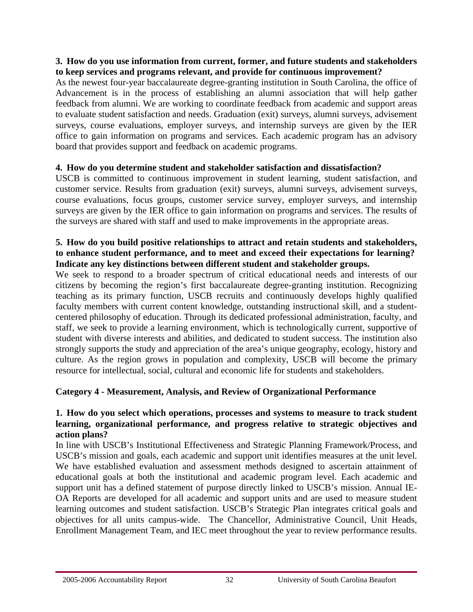#### **3. How do you use information from current, former, and future students and stakeholders to keep services and programs relevant, and provide for continuous improvement?**

As the newest four-year baccalaureate degree-granting institution in South Carolina, the office of Advancement is in the process of establishing an alumni association that will help gather feedback from alumni. We are working to coordinate feedback from academic and support areas to evaluate student satisfaction and needs. Graduation (exit) surveys, alumni surveys, advisement surveys, course evaluations, employer surveys, and internship surveys are given by the IER office to gain information on programs and services. Each academic program has an advisory board that provides support and feedback on academic programs.

# **4. How do you determine student and stakeholder satisfaction and dissatisfaction?**

USCB is committed to continuous improvement in student learning, student satisfaction, and customer service. Results from graduation (exit) surveys, alumni surveys, advisement surveys, course evaluations, focus groups, customer service survey, employer surveys, and internship surveys are given by the IER office to gain information on programs and services. The results of the surveys are shared with staff and used to make improvements in the appropriate areas.

#### **5. How do you build positive relationships to attract and retain students and stakeholders, to enhance student performance, and to meet and exceed their expectations for learning? Indicate any key distinctions between different student and stakeholder groups.**

We seek to respond to a broader spectrum of critical educational needs and interests of our citizens by becoming the region's first baccalaureate degree-granting institution. Recognizing teaching as its primary function, USCB recruits and continuously develops highly qualified faculty members with current content knowledge, outstanding instructional skill, and a studentcentered philosophy of education. Through its dedicated professional administration, faculty, and staff, we seek to provide a learning environment, which is technologically current, supportive of student with diverse interests and abilities, and dedicated to student success. The institution also strongly supports the study and appreciation of the area's unique geography, ecology, history and culture. As the region grows in population and complexity, USCB will become the primary resource for intellectual, social, cultural and economic life for students and stakeholders.

# **Category 4 - Measurement, Analysis, and Review of Organizational Performance**

#### **1. How do you select which operations, processes and systems to measure to track student learning, organizational performance, and progress relative to strategic objectives and action plans?**

In line with USCB's Institutional Effectiveness and Strategic Planning Framework/Process, and USCB's mission and goals, each academic and support unit identifies measures at the unit level. We have established evaluation and assessment methods designed to ascertain attainment of educational goals at both the institutional and academic program level. Each academic and support unit has a defined statement of purpose directly linked to USCB's mission. Annual IE-OA Reports are developed for all academic and support units and are used to measure student learning outcomes and student satisfaction. USCB's Strategic Plan integrates critical goals and objectives for all units campus-wide. The Chancellor, Administrative Council, Unit Heads, Enrollment Management Team, and IEC meet throughout the year to review performance results.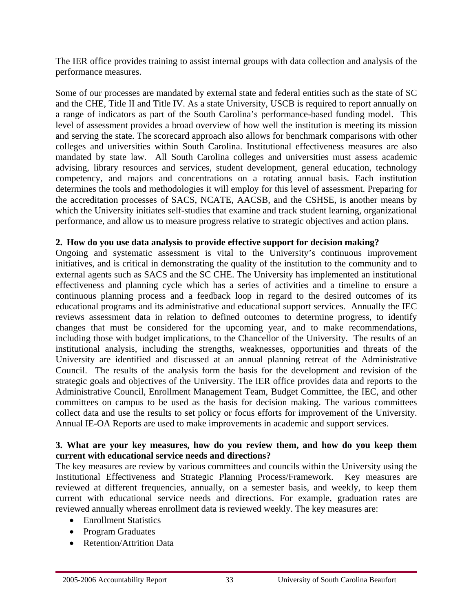The IER office provides training to assist internal groups with data collection and analysis of the performance measures.

Some of our processes are mandated by external state and federal entities such as the state of SC and the CHE, Title II and Title IV. As a state University, USCB is required to report annually on a range of indicators as part of the South Carolina's performance-based funding model. This level of assessment provides a broad overview of how well the institution is meeting its mission and serving the state. The scorecard approach also allows for benchmark comparisons with other colleges and universities within South Carolina. Institutional effectiveness measures are also mandated by state law. All South Carolina colleges and universities must assess academic advising, library resources and services, student development, general education, technology competency, and majors and concentrations on a rotating annual basis. Each institution determines the tools and methodologies it will employ for this level of assessment. Preparing for the accreditation processes of SACS, NCATE, AACSB, and the CSHSE, is another means by which the University initiates self-studies that examine and track student learning, organizational performance, and allow us to measure progress relative to strategic objectives and action plans.

#### **2. How do you use data analysis to provide effective support for decision making?**

Ongoing and systematic assessment is vital to the University's continuous improvement initiatives, and is critical in demonstrating the quality of the institution to the community and to external agents such as SACS and the SC CHE. The University has implemented an institutional effectiveness and planning cycle which has a series of activities and a timeline to ensure a continuous planning process and a feedback loop in regard to the desired outcomes of its educational programs and its administrative and educational support services. Annually the IEC reviews assessment data in relation to defined outcomes to determine progress, to identify changes that must be considered for the upcoming year, and to make recommendations, including those with budget implications, to the Chancellor of the University. The results of an institutional analysis, including the strengths, weaknesses, opportunities and threats of the University are identified and discussed at an annual planning retreat of the Administrative Council. The results of the analysis form the basis for the development and revision of the strategic goals and objectives of the University. The IER office provides data and reports to the Administrative Council, Enrollment Management Team, Budget Committee, the IEC, and other committees on campus to be used as the basis for decision making. The various committees collect data and use the results to set policy or focus efforts for improvement of the University. Annual IE-OA Reports are used to make improvements in academic and support services.

#### **3. What are your key measures, how do you review them, and how do you keep them current with educational service needs and directions?**

The key measures are review by various committees and councils within the University using the Institutional Effectiveness and Strategic Planning Process/Framework. Key measures are reviewed at different frequencies, annually, on a semester basis, and weekly, to keep them current with educational service needs and directions. For example, graduation rates are reviewed annually whereas enrollment data is reviewed weekly. The key measures are:

- Enrollment Statistics
- Program Graduates
- Retention/Attrition Data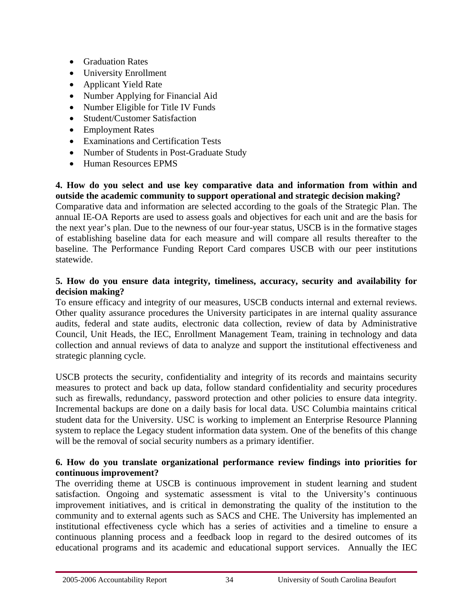- Graduation Rates
- University Enrollment
- Applicant Yield Rate
- Number Applying for Financial Aid
- Number Eligible for Title IV Funds
- Student/Customer Satisfaction
- Employment Rates
- Examinations and Certification Tests
- Number of Students in Post-Graduate Study
- Human Resources EPMS

#### **4. How do you select and use key comparative data and information from within and outside the academic community to support operational and strategic decision making?**

Comparative data and information are selected according to the goals of the Strategic Plan. The annual IE-OA Reports are used to assess goals and objectives for each unit and are the basis for the next year's plan. Due to the newness of our four-year status, USCB is in the formative stages of establishing baseline data for each measure and will compare all results thereafter to the baseline. The Performance Funding Report Card compares USCB with our peer institutions statewide.

# **5. How do you ensure data integrity, timeliness, accuracy, security and availability for decision making?**

To ensure efficacy and integrity of our measures, USCB conducts internal and external reviews. Other quality assurance procedures the University participates in are internal quality assurance audits, federal and state audits, electronic data collection, review of data by Administrative Council, Unit Heads, the IEC, Enrollment Management Team, training in technology and data collection and annual reviews of data to analyze and support the institutional effectiveness and strategic planning cycle.

USCB protects the security, confidentiality and integrity of its records and maintains security measures to protect and back up data, follow standard confidentiality and security procedures such as firewalls, redundancy, password protection and other policies to ensure data integrity. Incremental backups are done on a daily basis for local data. USC Columbia maintains critical student data for the University. USC is working to implement an Enterprise Resource Planning system to replace the Legacy student information data system. One of the benefits of this change will be the removal of social security numbers as a primary identifier.

# **6. How do you translate organizational performance review findings into priorities for continuous improvement?**

The overriding theme at USCB is continuous improvement in student learning and student satisfaction. Ongoing and systematic assessment is vital to the University's continuous improvement initiatives, and is critical in demonstrating the quality of the institution to the community and to external agents such as SACS and CHE. The University has implemented an institutional effectiveness cycle which has a series of activities and a timeline to ensure a continuous planning process and a feedback loop in regard to the desired outcomes of its educational programs and its academic and educational support services. Annually the IEC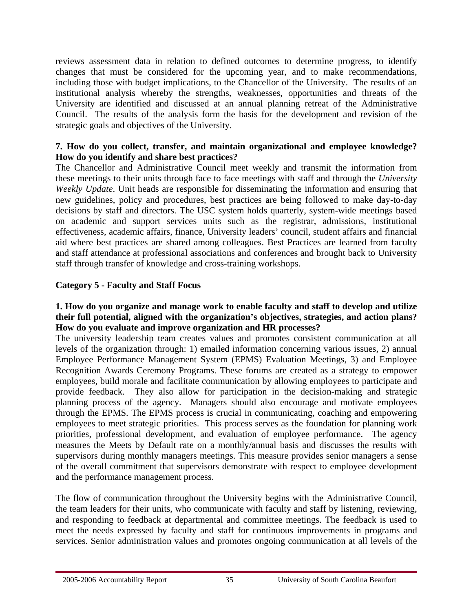reviews assessment data in relation to defined outcomes to determine progress, to identify changes that must be considered for the upcoming year, and to make recommendations, including those with budget implications, to the Chancellor of the University. The results of an institutional analysis whereby the strengths, weaknesses, opportunities and threats of the University are identified and discussed at an annual planning retreat of the Administrative Council. The results of the analysis form the basis for the development and revision of the strategic goals and objectives of the University.

# **7. How do you collect, transfer, and maintain organizational and employee knowledge? How do you identify and share best practices?**

The Chancellor and Administrative Council meet weekly and transmit the information from these meetings to their units through face to face meetings with staff and through the *University Weekly Update*. Unit heads are responsible for disseminating the information and ensuring that new guidelines, policy and procedures, best practices are being followed to make day-to-day decisions by staff and directors. The USC system holds quarterly, system-wide meetings based on academic and support services units such as the registrar, admissions, institutional effectiveness, academic affairs, finance, University leaders' council, student affairs and financial aid where best practices are shared among colleagues. Best Practices are learned from faculty and staff attendance at professional associations and conferences and brought back to University staff through transfer of knowledge and cross-training workshops.

# **Category 5 - Faculty and Staff Focus**

#### **1. How do you organize and manage work to enable faculty and staff to develop and utilize their full potential, aligned with the organization's objectives, strategies, and action plans? How do you evaluate and improve organization and HR processes?**

The university leadership team creates values and promotes consistent communication at all levels of the organization through: 1) emailed information concerning various issues, 2) annual Employee Performance Management System (EPMS) Evaluation Meetings, 3) and Employee Recognition Awards Ceremony Programs. These forums are created as a strategy to empower employees, build morale and facilitate communication by allowing employees to participate and provide feedback. They also allow for participation in the decision-making and strategic planning process of the agency. Managers should also encourage and motivate employees through the EPMS. The EPMS process is crucial in communicating, coaching and empowering employees to meet strategic priorities. This process serves as the foundation for planning work priorities, professional development, and evaluation of employee performance. The agency measures the Meets by Default rate on a monthly/annual basis and discusses the results with supervisors during monthly managers meetings. This measure provides senior managers a sense of the overall commitment that supervisors demonstrate with respect to employee development and the performance management process.

The flow of communication throughout the University begins with the Administrative Council, the team leaders for their units, who communicate with faculty and staff by listening, reviewing, and responding to feedback at departmental and committee meetings. The feedback is used to meet the needs expressed by faculty and staff for continuous improvements in programs and services. Senior administration values and promotes ongoing communication at all levels of the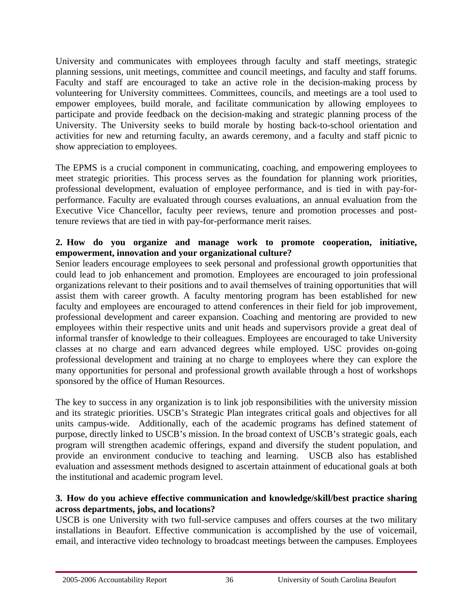University and communicates with employees through faculty and staff meetings, strategic planning sessions, unit meetings, committee and council meetings, and faculty and staff forums. Faculty and staff are encouraged to take an active role in the decision-making process by volunteering for University committees. Committees, councils, and meetings are a tool used to empower employees, build morale, and facilitate communication by allowing employees to participate and provide feedback on the decision-making and strategic planning process of the University. The University seeks to build morale by hosting back-to-school orientation and activities for new and returning faculty, an awards ceremony, and a faculty and staff picnic to show appreciation to employees.

The EPMS is a crucial component in communicating, coaching, and empowering employees to meet strategic priorities. This process serves as the foundation for planning work priorities, professional development, evaluation of employee performance, and is tied in with pay-forperformance. Faculty are evaluated through courses evaluations, an annual evaluation from the Executive Vice Chancellor, faculty peer reviews, tenure and promotion processes and posttenure reviews that are tied in with pay-for-performance merit raises.

# **2. How do you organize and manage work to promote cooperation, initiative, empowerment, innovation and your organizational culture?**

Senior leaders encourage employees to seek personal and professional growth opportunities that could lead to job enhancement and promotion. Employees are encouraged to join professional organizations relevant to their positions and to avail themselves of training opportunities that will assist them with career growth. A faculty mentoring program has been established for new faculty and employees are encouraged to attend conferences in their field for job improvement, professional development and career expansion. Coaching and mentoring are provided to new employees within their respective units and unit heads and supervisors provide a great deal of informal transfer of knowledge to their colleagues. Employees are encouraged to take University classes at no charge and earn advanced degrees while employed. USC provides on-going professional development and training at no charge to employees where they can explore the many opportunities for personal and professional growth available through a host of workshops sponsored by the office of Human Resources.

The key to success in any organization is to link job responsibilities with the university mission and its strategic priorities. USCB's Strategic Plan integrates critical goals and objectives for all units campus-wide. Additionally, each of the academic programs has defined statement of purpose, directly linked to USCB's mission. In the broad context of USCB's strategic goals, each program will strengthen academic offerings, expand and diversify the student population, and provide an environment conducive to teaching and learning. USCB also has established evaluation and assessment methods designed to ascertain attainment of educational goals at both the institutional and academic program level.

# **3. How do you achieve effective communication and knowledge/skill/best practice sharing across departments, jobs, and locations?**

USCB is one University with two full-service campuses and offers courses at the two military installations in Beaufort. Effective communication is accomplished by the use of voicemail, email, and interactive video technology to broadcast meetings between the campuses. Employees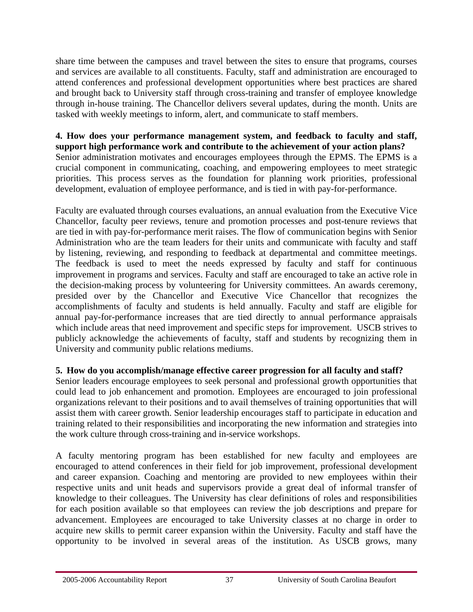share time between the campuses and travel between the sites to ensure that programs, courses and services are available to all constituents. Faculty, staff and administration are encouraged to attend conferences and professional development opportunities where best practices are shared and brought back to University staff through cross-training and transfer of employee knowledge through in-house training. The Chancellor delivers several updates, during the month. Units are tasked with weekly meetings to inform, alert, and communicate to staff members.

**4. How does your performance management system, and feedback to faculty and staff, support high performance work and contribute to the achievement of your action plans?**  Senior administration motivates and encourages employees through the EPMS. The EPMS is a crucial component in communicating, coaching, and empowering employees to meet strategic priorities. This process serves as the foundation for planning work priorities, professional development, evaluation of employee performance, and is tied in with pay-for-performance.

Faculty are evaluated through courses evaluations, an annual evaluation from the Executive Vice Chancellor, faculty peer reviews, tenure and promotion processes and post-tenure reviews that are tied in with pay-for-performance merit raises. The flow of communication begins with Senior Administration who are the team leaders for their units and communicate with faculty and staff by listening, reviewing, and responding to feedback at departmental and committee meetings. The feedback is used to meet the needs expressed by faculty and staff for continuous improvement in programs and services. Faculty and staff are encouraged to take an active role in the decision-making process by volunteering for University committees. An awards ceremony, presided over by the Chancellor and Executive Vice Chancellor that recognizes the accomplishments of faculty and students is held annually. Faculty and staff are eligible for annual pay-for-performance increases that are tied directly to annual performance appraisals which include areas that need improvement and specific steps for improvement. USCB strives to publicly acknowledge the achievements of faculty, staff and students by recognizing them in University and community public relations mediums.

# **5. How do you accomplish/manage effective career progression for all faculty and staff?**

Senior leaders encourage employees to seek personal and professional growth opportunities that could lead to job enhancement and promotion. Employees are encouraged to join professional organizations relevant to their positions and to avail themselves of training opportunities that will assist them with career growth. Senior leadership encourages staff to participate in education and training related to their responsibilities and incorporating the new information and strategies into the work culture through cross-training and in-service workshops.

A faculty mentoring program has been established for new faculty and employees are encouraged to attend conferences in their field for job improvement, professional development and career expansion. Coaching and mentoring are provided to new employees within their respective units and unit heads and supervisors provide a great deal of informal transfer of knowledge to their colleagues. The University has clear definitions of roles and responsibilities for each position available so that employees can review the job descriptions and prepare for advancement. Employees are encouraged to take University classes at no charge in order to acquire new skills to permit career expansion within the University. Faculty and staff have the opportunity to be involved in several areas of the institution. As USCB grows, many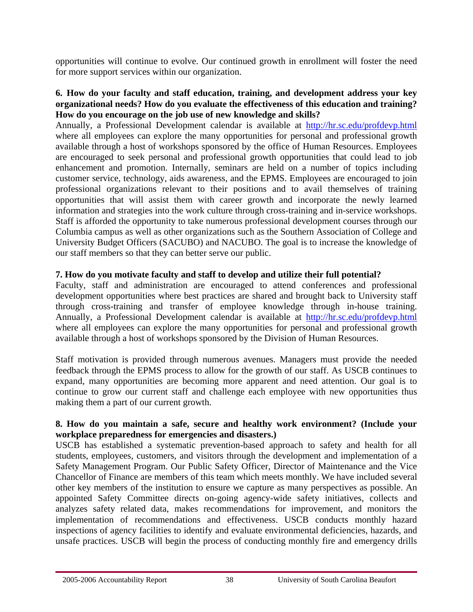opportunities will continue to evolve. Our continued growth in enrollment will foster the need for more support services within our organization.

#### **6. How do your faculty and staff education, training, and development address your key organizational needs? How do you evaluate the effectiveness of this education and training? How do you encourage on the job use of new knowledge and skills?**

Annually, a Professional Development calendar is available at <http://hr.sc.edu/profdevp.html> where all employees can explore the many opportunities for personal and professional growth available through a host of workshops sponsored by the office of Human Resources. Employees are encouraged to seek personal and professional growth opportunities that could lead to job enhancement and promotion. Internally, seminars are held on a number of topics including customer service, technology, aids awareness, and the EPMS. Employees are encouraged to join professional organizations relevant to their positions and to avail themselves of training opportunities that will assist them with career growth and incorporate the newly learned information and strategies into the work culture through cross-training and in-service workshops. Staff is afforded the opportunity to take numerous professional development courses through our Columbia campus as well as other organizations such as the Southern Association of College and University Budget Officers (SACUBO) and NACUBO. The goal is to increase the knowledge of our staff members so that they can better serve our public.

# **7. How do you motivate faculty and staff to develop and utilize their full potential?**

Faculty, staff and administration are encouraged to attend conferences and professional development opportunities where best practices are shared and brought back to University staff through cross-training and transfer of employee knowledge through in-house training. Annually, a Professional Development calendar is available at <http://hr.sc.edu/profdevp.html> where all employees can explore the many opportunities for personal and professional growth available through a host of workshops sponsored by the Division of Human Resources.

Staff motivation is provided through numerous avenues. Managers must provide the needed feedback through the EPMS process to allow for the growth of our staff. As USCB continues to expand, many opportunities are becoming more apparent and need attention. Our goal is to continue to grow our current staff and challenge each employee with new opportunities thus making them a part of our current growth.

# **8. How do you maintain a safe, secure and healthy work environment? (Include your workplace preparedness for emergencies and disasters.)**

USCB has established a systematic prevention-based approach to safety and health for all students, employees, customers, and visitors through the development and implementation of a Safety Management Program. Our Public Safety Officer, Director of Maintenance and the Vice Chancellor of Finance are members of this team which meets monthly. We have included several other key members of the institution to ensure we capture as many perspectives as possible. An appointed Safety Committee directs on-going agency-wide safety initiatives, collects and analyzes safety related data, makes recommendations for improvement, and monitors the implementation of recommendations and effectiveness. USCB conducts monthly hazard inspections of agency facilities to identify and evaluate environmental deficiencies, hazards, and unsafe practices. USCB will begin the process of conducting monthly fire and emergency drills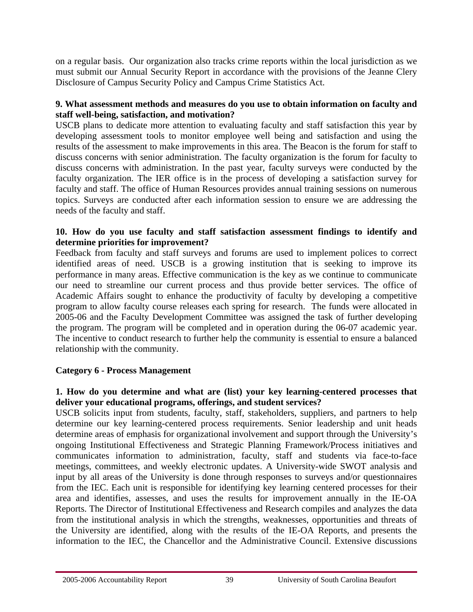on a regular basis. Our organization also tracks crime reports within the local jurisdiction as we must submit our Annual Security Report in accordance with the provisions of the Jeanne Clery Disclosure of Campus Security Policy and Campus Crime Statistics Act.

# **9. What assessment methods and measures do you use to obtain information on faculty and staff well-being, satisfaction, and motivation?**

USCB plans to dedicate more attention to evaluating faculty and staff satisfaction this year by developing assessment tools to monitor employee well being and satisfaction and using the results of the assessment to make improvements in this area. The Beacon is the forum for staff to discuss concerns with senior administration. The faculty organization is the forum for faculty to discuss concerns with administration. In the past year, faculty surveys were conducted by the faculty organization. The IER office is in the process of developing a satisfaction survey for faculty and staff. The office of Human Resources provides annual training sessions on numerous topics. Surveys are conducted after each information session to ensure we are addressing the needs of the faculty and staff.

# **10. How do you use faculty and staff satisfaction assessment findings to identify and determine priorities for improvement?**

Feedback from faculty and staff surveys and forums are used to implement polices to correct identified areas of need. USCB is a growing institution that is seeking to improve its performance in many areas. Effective communication is the key as we continue to communicate our need to streamline our current process and thus provide better services. The office of Academic Affairs sought to enhance the productivity of faculty by developing a competitive program to allow faculty course releases each spring for research. The funds were allocated in 2005-06 and the Faculty Development Committee was assigned the task of further developing the program. The program will be completed and in operation during the 06-07 academic year. The incentive to conduct research to further help the community is essential to ensure a balanced relationship with the community.

# **Category 6 - Process Management**

# **1. How do you determine and what are (list) your key learning-centered processes that deliver your educational programs, offerings, and student services?**

USCB solicits input from students, faculty, staff, stakeholders, suppliers, and partners to help determine our key learning-centered process requirements. Senior leadership and unit heads determine areas of emphasis for organizational involvement and support through the University's ongoing Institutional Effectiveness and Strategic Planning Framework/Process initiatives and communicates information to administration, faculty, staff and students via face-to-face meetings, committees, and weekly electronic updates. A University-wide SWOT analysis and input by all areas of the University is done through responses to surveys and/or questionnaires from the IEC. Each unit is responsible for identifying key learning centered processes for their area and identifies, assesses, and uses the results for improvement annually in the IE-OA Reports. The Director of Institutional Effectiveness and Research compiles and analyzes the data from the institutional analysis in which the strengths, weaknesses, opportunities and threats of the University are identified, along with the results of the IE-OA Reports, and presents the information to the IEC, the Chancellor and the Administrative Council. Extensive discussions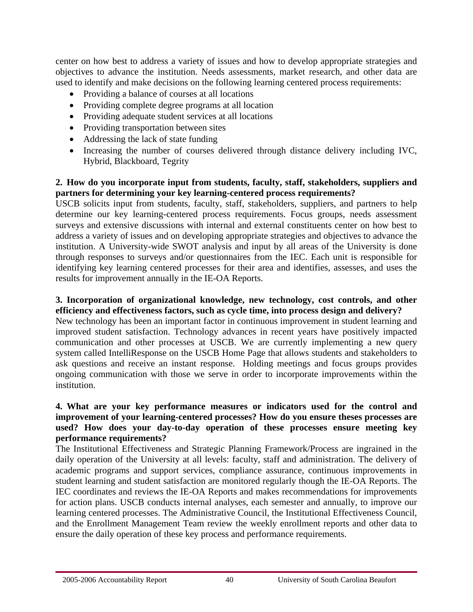center on how best to address a variety of issues and how to develop appropriate strategies and objectives to advance the institution. Needs assessments, market research, and other data are used to identify and make decisions on the following learning centered process requirements:

- Providing a balance of courses at all locations
- Providing complete degree programs at all location
- Providing adequate student services at all locations
- Providing transportation between sites
- Addressing the lack of state funding
- Increasing the number of courses delivered through distance delivery including IVC, Hybrid, Blackboard, Tegrity

# **2. How do you incorporate input from students, faculty, staff, stakeholders, suppliers and partners for determining your key learning-centered process requirements?**

USCB solicits input from students, faculty, staff, stakeholders, suppliers, and partners to help determine our key learning-centered process requirements. Focus groups, needs assessment surveys and extensive discussions with internal and external constituents center on how best to address a variety of issues and on developing appropriate strategies and objectives to advance the institution. A University-wide SWOT analysis and input by all areas of the University is done through responses to surveys and/or questionnaires from the IEC. Each unit is responsible for identifying key learning centered processes for their area and identifies, assesses, and uses the results for improvement annually in the IE-OA Reports.

#### **3. Incorporation of organizational knowledge, new technology, cost controls, and other efficiency and effectiveness factors, such as cycle time, into process design and delivery?**

New technology has been an important factor in continuous improvement in student learning and improved student satisfaction. Technology advances in recent years have positively impacted communication and other processes at USCB. We are currently implementing a new query system called IntelliResponse on the USCB Home Page that allows students and stakeholders to ask questions and receive an instant response. Holding meetings and focus groups provides ongoing communication with those we serve in order to incorporate improvements within the institution.

#### **4. What are your key performance measures or indicators used for the control and improvement of your learning-centered processes? How do you ensure theses processes are used? How does your day-to-day operation of these processes ensure meeting key performance requirements?**

The Institutional Effectiveness and Strategic Planning Framework/Process are ingrained in the daily operation of the University at all levels: faculty, staff and administration. The delivery of academic programs and support services, compliance assurance, continuous improvements in student learning and student satisfaction are monitored regularly though the IE-OA Reports. The IEC coordinates and reviews the IE-OA Reports and makes recommendations for improvements for action plans. USCB conducts internal analyses, each semester and annually, to improve our learning centered processes. The Administrative Council, the Institutional Effectiveness Council, and the Enrollment Management Team review the weekly enrollment reports and other data to ensure the daily operation of these key process and performance requirements.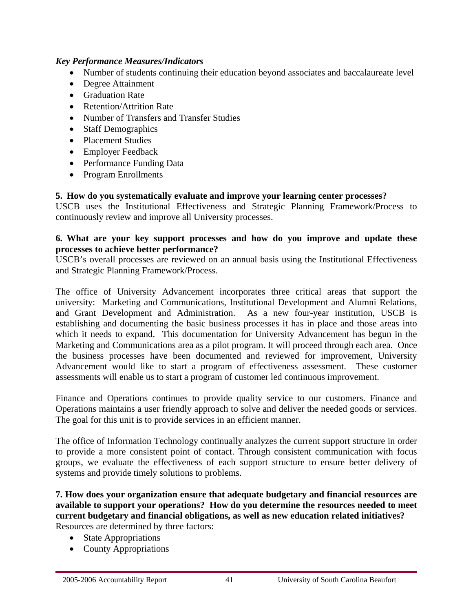#### *Key Performance Measures/Indicators*

- Number of students continuing their education beyond associates and baccalaureate level
- Degree Attainment
- Graduation Rate
- Retention/Attrition Rate
- Number of Transfers and Transfer Studies
- Staff Demographics
- Placement Studies
- Employer Feedback
- Performance Funding Data
- Program Enrollments

**5. How do you systematically evaluate and improve your learning center processes?** 

USCB uses the Institutional Effectiveness and Strategic Planning Framework/Process to continuously review and improve all University processes.

#### **6. What are your key support processes and how do you improve and update these processes to achieve better performance?**

USCB's overall processes are reviewed on an annual basis using the Institutional Effectiveness and Strategic Planning Framework/Process.

The office of University Advancement incorporates three critical areas that support the university: Marketing and Communications, Institutional Development and Alumni Relations, and Grant Development and Administration. As a new four-year institution, USCB is establishing and documenting the basic business processes it has in place and those areas into which it needs to expand. This documentation for University Advancement has begun in the Marketing and Communications area as a pilot program. It will proceed through each area. Once the business processes have been documented and reviewed for improvement, University Advancement would like to start a program of effectiveness assessment. These customer assessments will enable us to start a program of customer led continuous improvement.

Finance and Operations continues to provide quality service to our customers. Finance and Operations maintains a user friendly approach to solve and deliver the needed goods or services. The goal for this unit is to provide services in an efficient manner.

The office of Information Technology continually analyzes the current support structure in order to provide a more consistent point of contact. Through consistent communication with focus groups, we evaluate the effectiveness of each support structure to ensure better delivery of systems and provide timely solutions to problems.

**7. How does your organization ensure that adequate budgetary and financial resources are available to support your operations? How do you determine the resources needed to meet current budgetary and financial obligations, as well as new education related initiatives?**  Resources are determined by three factors:

- State Appropriations
- County Appropriations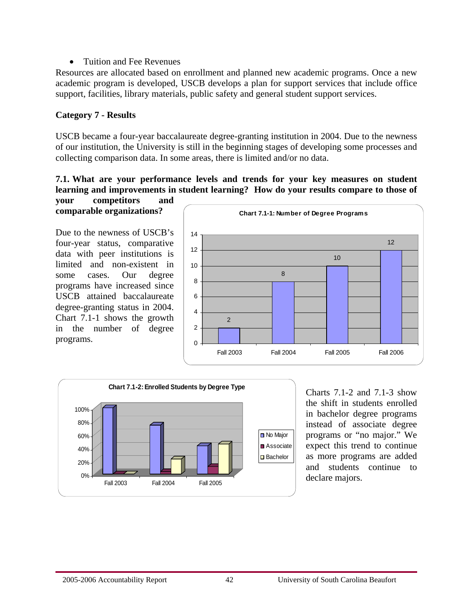#### • Tuition and Fee Revenues

Resources are allocated based on enrollment and planned new academic programs. Once a new academic program is developed, USCB develops a plan for support services that include office support, facilities, library materials, public safety and general student support services.

# **Category 7 - Results**

USCB became a four-year baccalaureate degree-granting institution in 2004. Due to the newness of our institution, the University is still in the beginning stages of developing some processes and collecting comparison data. In some areas, there is limited and/or no data.

#### **7.1. What are your performance levels and trends for your key measures on student learning and improvements in student learning? How do your results compare to those of your competitors and**

**comparable organizations?** 

Due to the newness of USCB's four-year status, comparative data with peer institutions is limited and non-existent in some cases. Our degree programs have increased since USCB attained baccalaureate degree-granting status in 2004. Chart 7.1-1 shows the growth in the number of degree programs.





Charts 7.1-2 and 7.1-3 show the shift in students enrolled in bachelor degree programs instead of associate degree programs or "no major." We expect this trend to continue as more programs are added and students continue to declare majors.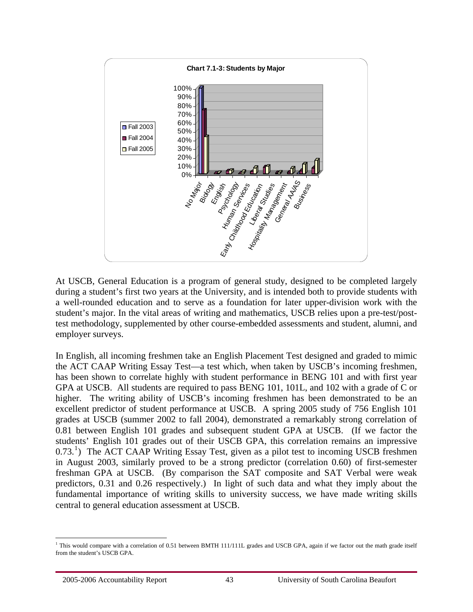<span id="page-44-0"></span>

At USCB, General Education is a program of general study, designed to be completed largely during a student's first two years at the University, and is intended both to provide students with a well-rounded education and to serve as a foundation for later upper-division work with the student's major. In the vital areas of writing and mathematics, USCB relies upon a pre-test/posttest methodology, supplemented by other course-embedded assessments and student, alumni, and employer surveys.

In English, all incoming freshmen take an English Placement Test designed and graded to mimic the ACT CAAP Writing Essay Test—a test which, when taken by USCB's incoming freshmen, has been shown to correlate highly with student performance in BENG 101 and with first year GPA at USCB. All students are required to pass BENG 101, 101L, and 102 with a grade of C or higher. The writing ability of USCB's incoming freshmen has been demonstrated to be an excellent predictor of student performance at USCB. A spring 2005 study of 756 English 101 grades at USCB (summer 2002 to fall 2004), demonstrated a remarkably strong correlation of 0.81 between English 101 grades and subsequent student GPA at USCB. (If we factor the students' English 101 grades out of their USCB GPA, this correlation remains an impressive  $(0.73<sup>1</sup>)$  $(0.73<sup>1</sup>)$  $(0.73<sup>1</sup>)$  The ACT CAAP Writing Essay Test, given as a pilot test to incoming USCB freshmen in August 2003, similarly proved to be a strong predictor (correlation 0.60) of first-semester freshman GPA at USCB. (By comparison the SAT composite and SAT Verbal were weak predictors, 0.31 and 0.26 respectively.) In light of such data and what they imply about the fundamental importance of writing skills to university success, we have made writing skills central to general education assessment at USCB.

 $\overline{a}$ <sup>1</sup> This would compare with a correlation of 0.51 between BMTH 111/111L grades and USCB GPA, again if we factor out the math grade itself from the student's USCB GPA.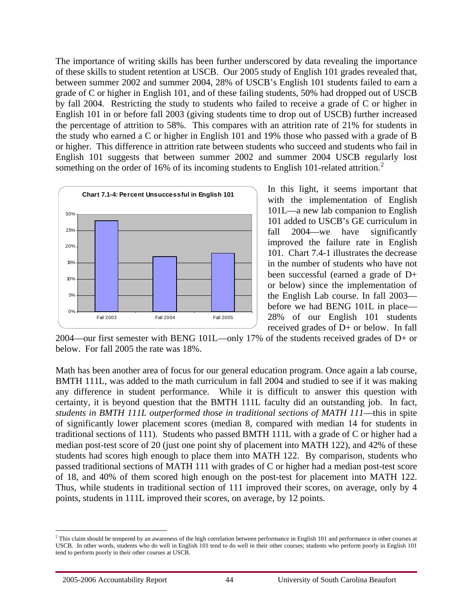<span id="page-45-0"></span>The importance of writing skills has been further underscored by data revealing the importance of these skills to student retention at USCB. Our 2005 study of English 101 grades revealed that, between summer 2002 and summer 2004, 28% of USCB's English 101 students failed to earn a grade of C or higher in English 101, and of these failing students, 50% had dropped out of USCB by fall 2004. Restricting the study to students who failed to receive a grade of C or higher in English 101 in or before fall 2003 (giving students time to drop out of USCB) further increased the percentage of attrition to 58%. This compares with an attrition rate of 21% for students in the study who earned a C or higher in English 101 and 19% those who passed with a grade of B or higher. This difference in attrition rate between students who succeed and students who fail in English 101 suggests that between summer 2002 and summer 2004 USCB regularly lost something on the order of 16% of its incoming students to English 101-related attrition.<sup>[2](#page-45-0)</sup>



In this light, it seems important that with the implementation of English 101L—a new lab companion to English 101 added to USCB's GE curriculum in fall 2004—we have significantly improved the failure rate in English 101. Chart 7.4-1 illustrates the decrease in the number of students who have not been successful (earned a grade of D+ or below) since the implementation of the English Lab course. In fall 2003 before we had BENG 101L in place— 28% of our English 101 students received grades of D+ or below. In fall

2004—our first semester with BENG 101L—only 17% of the students received grades of D+ or below. For fall 2005 the rate was 18%.

Math has been another area of focus for our general education program. Once again a lab course, BMTH 111L, was added to the math curriculum in fall 2004 and studied to see if it was making any difference in student performance. While it is difficult to answer this question with certainty, it is beyond question that the BMTH 111L faculty did an outstanding job. In fact, *students in BMTH 111L outperformed those in traditional sections of MATH 111*—this in spite of significantly lower placement scores (median 8, compared with median 14 for students in traditional sections of 111). Students who passed BMTH 111L with a grade of C or higher had a median post-test score of 20 (just one point shy of placement into MATH 122), and 42% of these students had scores high enough to place them into MATH 122. By comparison, students who passed traditional sections of MATH 111 with grades of C or higher had a median post-test score of 18, and 40% of them scored high enough on the post-test for placement into MATH 122. Thus, while students in traditional section of 111 improved their scores, on average, only by 4 points, students in 111L improved their scores, on average, by 12 points.

 $\overline{a}$  $<sup>2</sup>$  This claim should be tempered by an awareness of the high correlation between performance in English 101 and performance in other courses at</sup> USCB. In other words, students who do well in English 101 tend to do well in their other courses; students who perform poorly in English 101 tend to perform poorly in their other courses at USCB.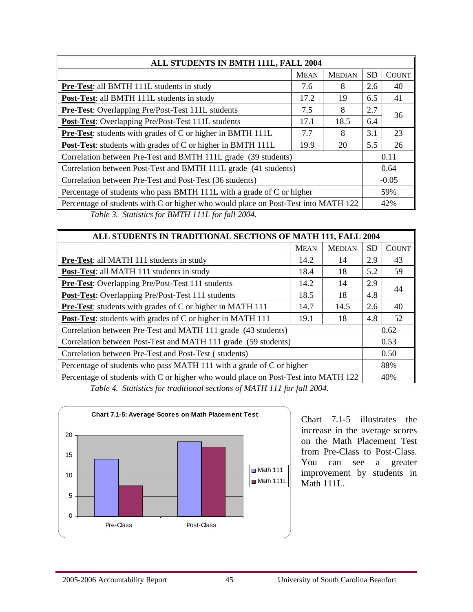| ALL STUDENTS IN BMTH 111L, FALL 2004                                               |             |               |           |              |  |  |
|------------------------------------------------------------------------------------|-------------|---------------|-----------|--------------|--|--|
|                                                                                    | <b>MEAN</b> | <b>MEDIAN</b> | <b>SD</b> | <b>COUNT</b> |  |  |
| <b>Pre-Test:</b> all BMTH 111L students in study                                   | 7.6         | 8             | 2.6       | 40           |  |  |
| Post-Test: all BMTH 111L students in study                                         | 17.2        | 19            | 6.5       | 41           |  |  |
| Pre-Test: Overlapping Pre/Post-Test 111L students                                  | 7.5         | 8             | 2.7       | 36           |  |  |
| <b>Post-Test:</b> Overlapping Pre/Post-Test 111L students                          | 17.1        | 18.5          | 6.4       |              |  |  |
| <b>Pre-Test:</b> students with grades of C or higher in BMTH 111L                  | 7.7         | 8             | 3.1       | 23           |  |  |
| <b>Post-Test:</b> students with grades of C or higher in BMTH 111L                 | 19.9        | 20            | 5.5       | 26           |  |  |
| Correlation between Pre-Test and BMTH 111L grade (39 students)                     |             |               |           | 0.11         |  |  |
| Correlation between Post-Test and BMTH 111L grade (41 students)                    |             |               |           | 0.64         |  |  |
| Correlation between Pre-Test and Post-Test (36 students)                           |             |               |           | $-0.05$      |  |  |
| Percentage of students who pass BMTH 111L with a grade of C or higher              |             |               | 59%       |              |  |  |
| Percentage of students with C or higher who would place on Post-Test into MATH 122 |             |               |           | 42%          |  |  |
| Table 3. Statistics for BMTH 111L for fall 2004.                                   |             |               |           |              |  |  |

| ALL STUDENTS IN TRADITIONAL SECTIONS OF MATH 111, FALL 2004                        |             |               |           |              |  |  |
|------------------------------------------------------------------------------------|-------------|---------------|-----------|--------------|--|--|
|                                                                                    | <b>MEAN</b> | <b>MEDIAN</b> | <b>SD</b> | <b>COUNT</b> |  |  |
| Pre-Test: all MATH 111 students in study                                           | 14.2        | 14            | 2.9       | 43           |  |  |
| Post-Test: all MATH 111 students in study                                          | 18.4        | 18            | 5.2       | 59           |  |  |
| Pre-Test: Overlapping Pre/Post-Test 111 students                                   | 14.2        | 14            | 2.9       | 44           |  |  |
| <b>Post-Test:</b> Overlapping Pre/Post-Test 111 students                           | 18.5        | 18            | 4.8       |              |  |  |
| <b>Pre-Test:</b> students with grades of C or higher in MATH 111                   | 14.7        | 14.5          | 2.6       | 40           |  |  |
| Post-Test: students with grades of C or higher in MATH 111                         | 19.1        | 18            | 4.8       | 52           |  |  |
| Correlation between Pre-Test and MATH 111 grade (43 students)                      |             |               |           | 0.62         |  |  |
| Correlation between Post-Test and MATH 111 grade (59 students)                     |             |               | 0.53      |              |  |  |
| Correlation between Pre-Test and Post-Test (students)                              |             |               | 0.50      |              |  |  |
| Percentage of students who pass MATH 111 with a grade of C or higher               |             |               | 88%       |              |  |  |
| Percentage of students with C or higher who would place on Post-Test into MATH 122 |             |               |           | 40%          |  |  |
| Table A. Statistics for two ditional cootinus of MATH 111 for fall 2004            |             |               |           |              |  |  |

*Table 4. Statistics for traditional sections of MATH 111 for fall 2004.* 



Chart 7.1-5 illustrates the increase in the average scores on the Math Placement Test from Pre-Class to Post-Class. You can see a greater improvement by students in Math 111L.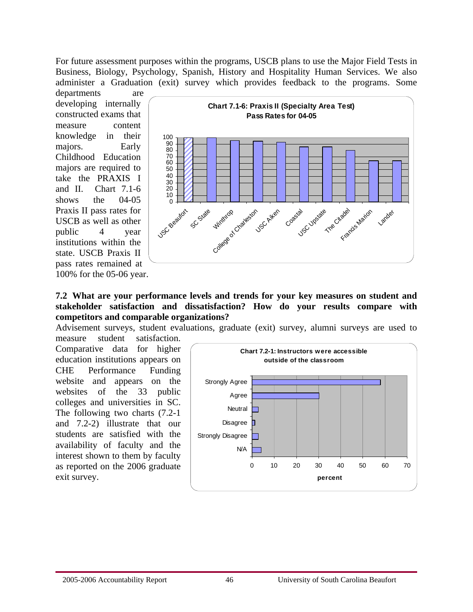For future assessment purposes within the programs, USCB plans to use the Major Field Tests in Business, Biology, Psychology, Spanish, History and Hospitality Human Services. We also administer a Graduation (exit) survey which provides feedback to the programs. Some

departments are developing internally constructed exams that measure content knowledge in their majors. Early Childhood Education majors are required to take the PRAXIS I and II. Chart 7.1-6 shows the 04-05 Praxis II pass rates for USCB as well as other public 4 year institutions within the state. USCB Praxis II pass rates remained at 100% for the 05-06 year.



#### **7.2 What are your performance levels and trends for your key measures on student and stakeholder satisfaction and dissatisfaction? How do your results compare with competitors and comparable organizations?**

Advisement surveys, student evaluations, graduate (exit) survey, alumni surveys are used to measure student satisfaction.

Comparative data for higher education institutions appears on CHE Performance Funding website and appears on the websites of the 33 public colleges and universities in SC. The following two charts (7.2-1 and 7.2-2) illustrate that our students are satisfied with the availability of faculty and the interest shown to them by faculty as reported on the 2006 graduate exit survey.

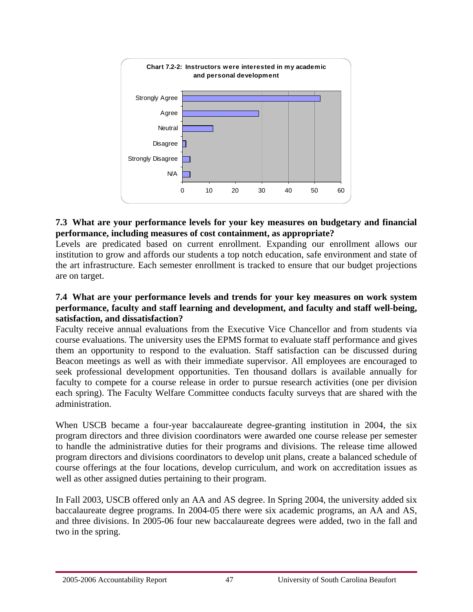

# **7.3 What are your performance levels for your key measures on budgetary and financial performance, including measures of cost containment, as appropriate?**

Levels are predicated based on current enrollment. Expanding our enrollment allows our institution to grow and affords our students a top notch education, safe environment and state of the art infrastructure. Each semester enrollment is tracked to ensure that our budget projections are on target.

#### **7.4 What are your performance levels and trends for your key measures on work system performance, faculty and staff learning and development, and faculty and staff well-being, satisfaction, and dissatisfaction?**

Faculty receive annual evaluations from the Executive Vice Chancellor and from students via course evaluations. The university uses the EPMS format to evaluate staff performance and gives them an opportunity to respond to the evaluation. Staff satisfaction can be discussed during Beacon meetings as well as with their immediate supervisor. All employees are encouraged to seek professional development opportunities. Ten thousand dollars is available annually for faculty to compete for a course release in order to pursue research activities (one per division each spring). The Faculty Welfare Committee conducts faculty surveys that are shared with the administration.

When USCB became a four-year baccalaureate degree-granting institution in 2004, the six program directors and three division coordinators were awarded one course release per semester to handle the administrative duties for their programs and divisions. The release time allowed program directors and divisions coordinators to develop unit plans, create a balanced schedule of course offerings at the four locations, develop curriculum, and work on accreditation issues as well as other assigned duties pertaining to their program.

In Fall 2003, USCB offered only an AA and AS degree. In Spring 2004, the university added six baccalaureate degree programs. In 2004-05 there were six academic programs, an AA and AS, and three divisions. In 2005-06 four new baccalaureate degrees were added, two in the fall and two in the spring.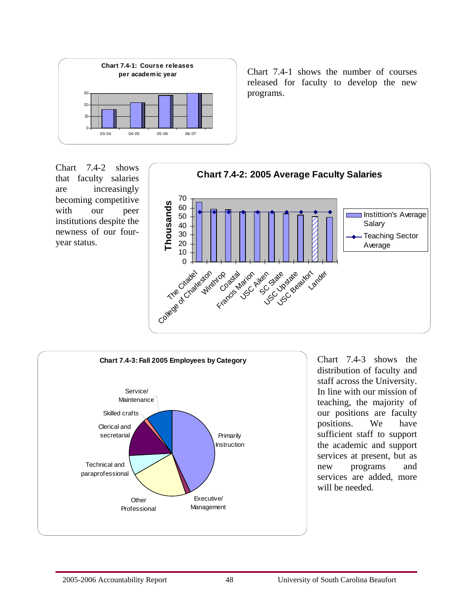

**per academic year** Chart 7.4-1 shows the number of courses released for faculty to develop the new programs.

Chart 7.4-2 shows that faculty salaries are increasingly becoming competitive with our peer institutions despite the newness of our fouryear status.





Chart 7.4-3 shows the distribution of faculty and staff across the University. In line with our mission of teaching, the majority of our positions are faculty positions. We have sufficient staff to support the academic and support services at present, but as new programs and services are added, more will be needed.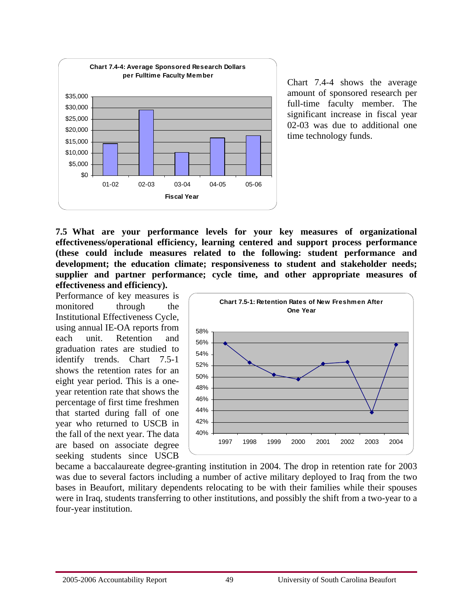

Chart 7.4-4 shows the average amount of sponsored research per full-time faculty member. The significant increase in fiscal year 02-03 was due to additional one time technology funds.

**7.5 What are your performance levels for your key measures of organizational effectiveness/operational efficiency, learning centered and support process performance (these could include measures related to the following: student performance and development; the education climate; responsiveness to student and stakeholder needs; supplier and partner performance; cycle time, and other appropriate measures of effectiveness and efficiency).** 

Performance of key measures is monitored through the Institutional Effectiveness Cycle, using annual IE-OA reports from each unit. Retention and graduation rates are studied to identify trends. Chart 7.5-1 shows the retention rates for an eight year period. This is a oneyear retention rate that shows the percentage of first time freshmen that started during fall of one year who returned to USCB in the fall of the next year. The data are based on associate degree seeking students since USCB



became a baccalaureate degree-granting institution in 2004. The drop in retention rate for 2003 was due to several factors including a number of active military deployed to Iraq from the two bases in Beaufort, military dependents relocating to be with their families while their spouses were in Iraq, students transferring to other institutions, and possibly the shift from a two-year to a four-year institution.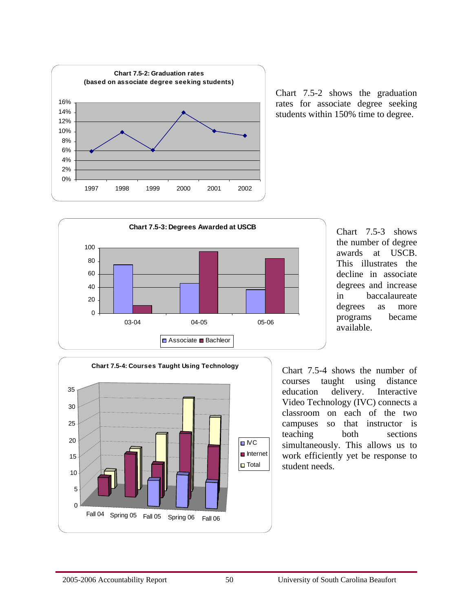

Chart 7.5-2 shows the graduation rates for associate degree seeking students within 150% time to degree.



Chart 7.5-3 shows the number of degree awards at USCB. This illustrates the decline in associate degrees and increase in baccalaureate degrees as more programs became available.



Chart 7.5-4 shows the number of courses taught using distance education delivery. Interactive Video Technology (IVC) connects a classroom on each of the two campuses so that instructor is teaching both sections simultaneously. This allows us to work efficiently yet be response to student needs.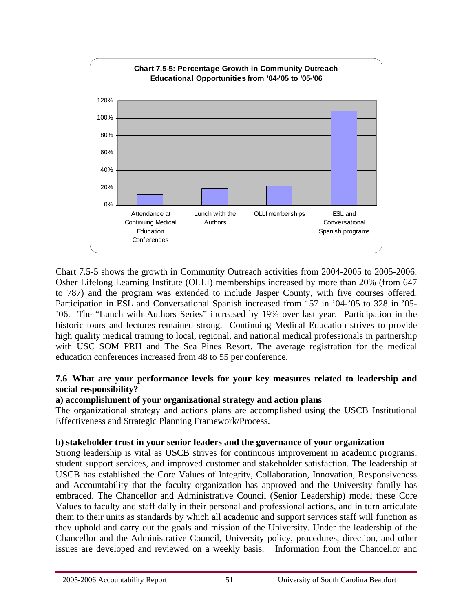

Chart 7.5-5 shows the growth in Community Outreach activities from 2004-2005 to 2005-2006. Osher Lifelong Learning Institute (OLLI) memberships increased by more than 20% (from 647 to 787) and the program was extended to include Jasper County, with five courses offered. Participation in ESL and Conversational Spanish increased from 157 in '04-'05 to 328 in '05- '06. The "Lunch with Authors Series" increased by 19% over last year. Participation in the historic tours and lectures remained strong. Continuing Medical Education strives to provide high quality medical training to local, regional, and national medical professionals in partnership with USC SOM PRH and The Sea Pines Resort. The average registration for the medical education conferences increased from 48 to 55 per conference.

# **7.6 What are your performance levels for your key measures related to leadership and social responsibility?**

# **a) accomplishment of your organizational strategy and action plans**

The organizational strategy and actions plans are accomplished using the USCB Institutional Effectiveness and Strategic Planning Framework/Process.

# **b) stakeholder trust in your senior leaders and the governance of your organization**

Strong leadership is vital as USCB strives for continuous improvement in academic programs, student support services, and improved customer and stakeholder satisfaction. The leadership at USCB has established the Core Values of Integrity, Collaboration, Innovation, Responsiveness and Accountability that the faculty organization has approved and the University family has embraced. The Chancellor and Administrative Council (Senior Leadership) model these Core Values to faculty and staff daily in their personal and professional actions, and in turn articulate them to their units as standards by which all academic and support services staff will function as they uphold and carry out the goals and mission of the University. Under the leadership of the Chancellor and the Administrative Council, University policy, procedures, direction, and other issues are developed and reviewed on a weekly basis. Information from the Chancellor and